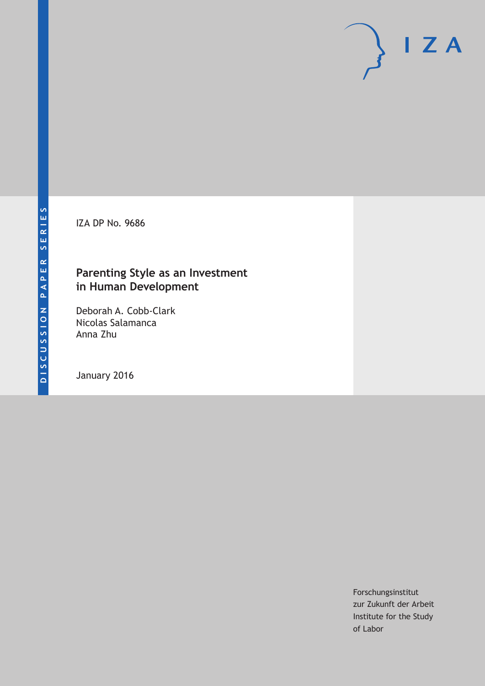IZA DP No. 9686

# **Parenting Style as an Investment in Human Development**

Deborah A. Cobb-Clark Nicolas Salamanca Anna Zhu

January 2016

Forschungsinstitut zur Zukunft der Arbeit Institute for the Study of Labor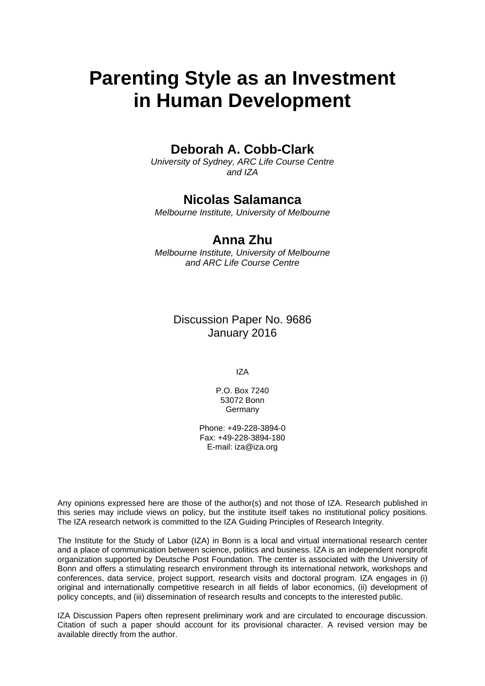# **Parenting Style as an Investment in Human Development**

# **Deborah A. Cobb-Clark**

*University of Sydney, ARC Life Course Centre and IZA* 

# **Nicolas Salamanca**

*Melbourne Institute, University of Melbourne* 

# **Anna Zhu**

*Melbourne Institute, University of Melbourne and ARC Life Course Centre*

> Discussion Paper No. 9686 January 2016

> > IZA

P.O. Box 7240 53072 Bonn **Germany** 

Phone: +49-228-3894-0 Fax: +49-228-3894-180 E-mail: iza@iza.org

Any opinions expressed here are those of the author(s) and not those of IZA. Research published in this series may include views on policy, but the institute itself takes no institutional policy positions. The IZA research network is committed to the IZA Guiding Principles of Research Integrity.

The Institute for the Study of Labor (IZA) in Bonn is a local and virtual international research center and a place of communication between science, politics and business. IZA is an independent nonprofit organization supported by Deutsche Post Foundation. The center is associated with the University of Bonn and offers a stimulating research environment through its international network, workshops and conferences, data service, project support, research visits and doctoral program. IZA engages in (i) original and internationally competitive research in all fields of labor economics, (ii) development of policy concepts, and (iii) dissemination of research results and concepts to the interested public.

IZA Discussion Papers often represent preliminary work and are circulated to encourage discussion. Citation of such a paper should account for its provisional character. A revised version may be available directly from the author.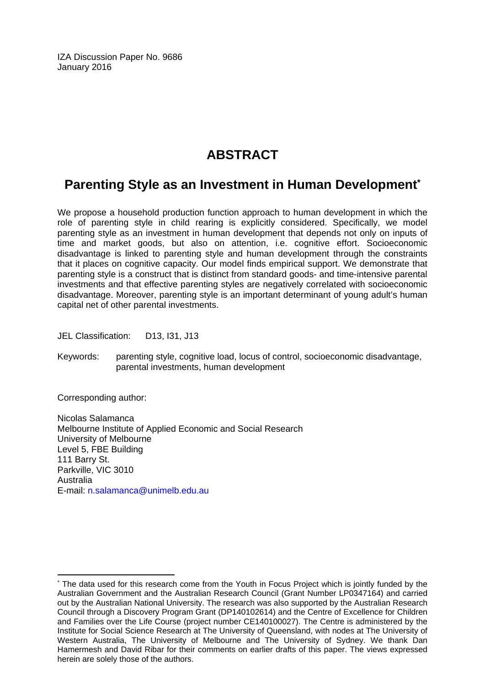IZA Discussion Paper No. 9686 January 2016

# **ABSTRACT**

# **Parenting Style as an Investment in Human Development\***

We propose a household production function approach to human development in which the role of parenting style in child rearing is explicitly considered. Specifically, we model parenting style as an investment in human development that depends not only on inputs of time and market goods, but also on attention, i.e. cognitive effort. Socioeconomic disadvantage is linked to parenting style and human development through the constraints that it places on cognitive capacity. Our model finds empirical support. We demonstrate that parenting style is a construct that is distinct from standard goods- and time-intensive parental investments and that effective parenting styles are negatively correlated with socioeconomic disadvantage. Moreover, parenting style is an important determinant of young adult's human capital net of other parental investments.

JEL Classification: D13, I31, J13

Keywords: parenting style, cognitive load, locus of control, socioeconomic disadvantage, parental investments, human development

Corresponding author:

 $\overline{a}$ 

Nicolas Salamanca Melbourne Institute of Applied Economic and Social Research University of Melbourne Level 5, FBE Building 111 Barry St. Parkville, VIC 3010 Australia E-mail: n.salamanca@unimelb.edu.au

<sup>\*</sup> The data used for this research come from the Youth in Focus Project which is jointly funded by the Australian Government and the Australian Research Council (Grant Number LP0347164) and carried out by the Australian National University. The research was also supported by the Australian Research Council through a Discovery Program Grant (DP140102614) and the Centre of Excellence for Children and Families over the Life Course (project number CE140100027). The Centre is administered by the Institute for Social Science Research at The University of Queensland, with nodes at The University of Western Australia, The University of Melbourne and The University of Sydney. We thank Dan Hamermesh and David Ribar for their comments on earlier drafts of this paper. The views expressed herein are solely those of the authors.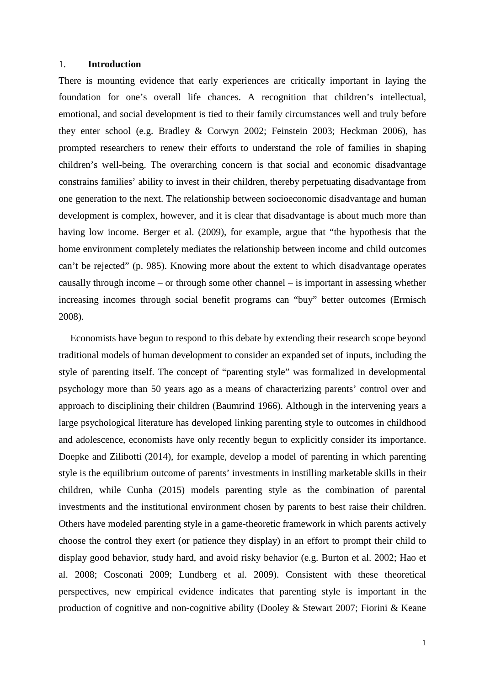#### 1. **Introduction**

There is mounting evidence that early experiences are critically important in laying the foundation for one's overall life chances. A recognition that children's intellectual, emotional, and social development is tied to their family circumstances well and truly before they enter school (e.g. Bradley & Corwyn 2002; Feinstein 2003; Heckman 2006), has prompted researchers to renew their efforts to understand the role of families in shaping children's well-being. The overarching concern is that social and economic disadvantage constrains families' ability to invest in their children, thereby perpetuating disadvantage from one generation to the next. The relationship between socioeconomic disadvantage and human development is complex, however, and it is clear that disadvantage is about much more than having low income. Berger et al. (2009), for example, argue that "the hypothesis that the home environment completely mediates the relationship between income and child outcomes can't be rejected" (p. 985). Knowing more about the extent to which disadvantage operates causally through income – or through some other channel – is important in assessing whether increasing incomes through social benefit programs can "buy" better outcomes (Ermisch 2008).

Economists have begun to respond to this debate by extending their research scope beyond traditional models of human development to consider an expanded set of inputs, including the style of parenting itself. The concept of "parenting style" was formalized in developmental psychology more than 50 years ago as a means of characterizing parents' control over and approach to disciplining their children (Baumrind 1966). Although in the intervening years a large psychological literature has developed linking parenting style to outcomes in childhood and adolescence, economists have only recently begun to explicitly consider its importance. Doepke and Zilibotti (2014), for example, develop a model of parenting in which parenting style is the equilibrium outcome of parents' investments in instilling marketable skills in their children, while Cunha (2015) models parenting style as the combination of parental investments and the institutional environment chosen by parents to best raise their children. Others have modeled parenting style in a game-theoretic framework in which parents actively choose the control they exert (or patience they display) in an effort to prompt their child to display good behavior, study hard, and avoid risky behavior (e.g. Burton et al. 2002; Hao et al. 2008; Cosconati 2009; Lundberg et al. 2009). Consistent with these theoretical perspectives, new empirical evidence indicates that parenting style is important in the production of cognitive and non-cognitive ability (Dooley & Stewart 2007; Fiorini & Keane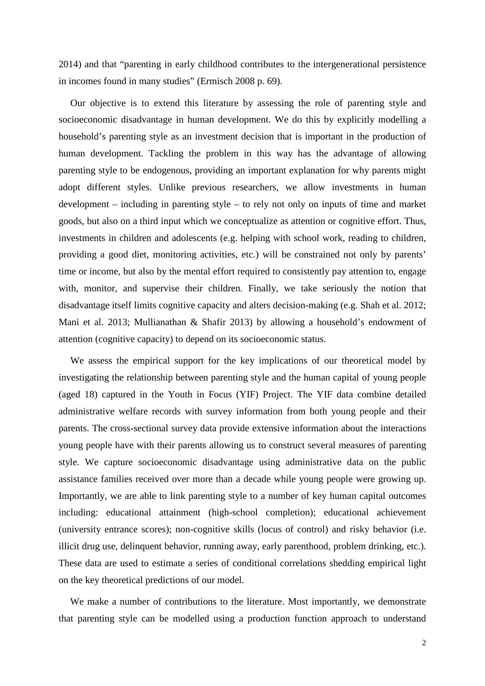2014) and that "parenting in early childhood contributes to the intergenerational persistence in incomes found in many studies" (Ermisch 2008 p. 69).

Our objective is to extend this literature by assessing the role of parenting style and socioeconomic disadvantage in human development. We do this by explicitly modelling a household's parenting style as an investment decision that is important in the production of human development. Tackling the problem in this way has the advantage of allowing parenting style to be endogenous, providing an important explanation for why parents might adopt different styles. Unlike previous researchers, we allow investments in human development – including in parenting style – to rely not only on inputs of time and market goods, but also on a third input which we conceptualize as attention or cognitive effort. Thus, investments in children and adolescents (e.g. helping with school work, reading to children, providing a good diet, monitoring activities, etc.) will be constrained not only by parents' time or income, but also by the mental effort required to consistently pay attention to, engage with, monitor, and supervise their children. Finally, we take seriously the notion that disadvantage itself limits cognitive capacity and alters decision-making (e.g. Shah et al. 2012; Mani et al. 2013; Mullianathan & Shafir 2013) by allowing a household's endowment of attention (cognitive capacity) to depend on its socioeconomic status.

We assess the empirical support for the key implications of our theoretical model by investigating the relationship between parenting style and the human capital of young people (aged 18) captured in the Youth in Focus (YIF) Project. The YIF data combine detailed administrative welfare records with survey information from both young people and their parents. The cross-sectional survey data provide extensive information about the interactions young people have with their parents allowing us to construct several measures of parenting style. We capture socioeconomic disadvantage using administrative data on the public assistance families received over more than a decade while young people were growing up. Importantly, we are able to link parenting style to a number of key human capital outcomes including: educational attainment (high-school completion); educational achievement (university entrance scores); non-cognitive skills (locus of control) and risky behavior (i.e. illicit drug use, delinquent behavior, running away, early parenthood, problem drinking, etc.). These data are used to estimate a series of conditional correlations shedding empirical light on the key theoretical predictions of our model.

We make a number of contributions to the literature. Most importantly, we demonstrate that parenting style can be modelled using a production function approach to understand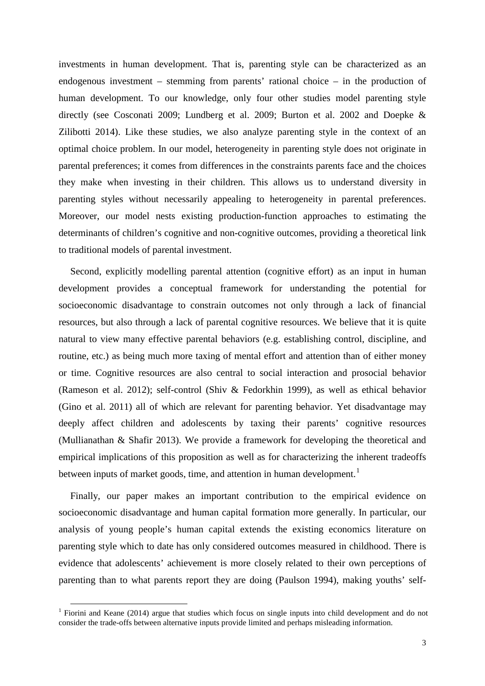investments in human development. That is, parenting style can be characterized as an endogenous investment – stemming from parents' rational choice – in the production of human development. To our knowledge, only four other studies model parenting style directly (see Cosconati 2009; Lundberg et al. 2009; Burton et al. 2002 and Doepke & Zilibotti 2014). Like these studies, we also analyze parenting style in the context of an optimal choice problem. In our model, heterogeneity in parenting style does not originate in parental preferences; it comes from differences in the constraints parents face and the choices they make when investing in their children. This allows us to understand diversity in parenting styles without necessarily appealing to heterogeneity in parental preferences. Moreover, our model nests existing production-function approaches to estimating the determinants of children's cognitive and non-cognitive outcomes, providing a theoretical link to traditional models of parental investment.

Second, explicitly modelling parental attention (cognitive effort) as an input in human development provides a conceptual framework for understanding the potential for socioeconomic disadvantage to constrain outcomes not only through a lack of financial resources, but also through a lack of parental cognitive resources. We believe that it is quite natural to view many effective parental behaviors (e.g. establishing control, discipline, and routine, etc.) as being much more taxing of mental effort and attention than of either money or time. Cognitive resources are also central to social interaction and prosocial behavior (Rameson et al. 2012); self-control (Shiv & Fedorkhin 1999), as well as ethical behavior (Gino et al. 2011) all of which are relevant for parenting behavior. Yet disadvantage may deeply affect children and adolescents by taxing their parents' cognitive resources (Mullianathan & Shafir 2013). We provide a framework for developing the theoretical and empirical implications of this proposition as well as for characterizing the inherent tradeoffs between inputs of market goods, time, and attention in human development.<sup>[1](#page-5-0)</sup>

Finally, our paper makes an important contribution to the empirical evidence on socioeconomic disadvantage and human capital formation more generally. In particular, our analysis of young people's human capital extends the existing economics literature on parenting style which to date has only considered outcomes measured in childhood. There is evidence that adolescents' achievement is more closely related to their own perceptions of parenting than to what parents report they are doing (Paulson 1994), making youths' self-

 $\overline{a}$ 

<span id="page-5-0"></span><sup>&</sup>lt;sup>1</sup> Fiorini and Keane (2014) argue that studies which focus on single inputs into child development and do not consider the trade-offs between alternative inputs provide limited and perhaps misleading information.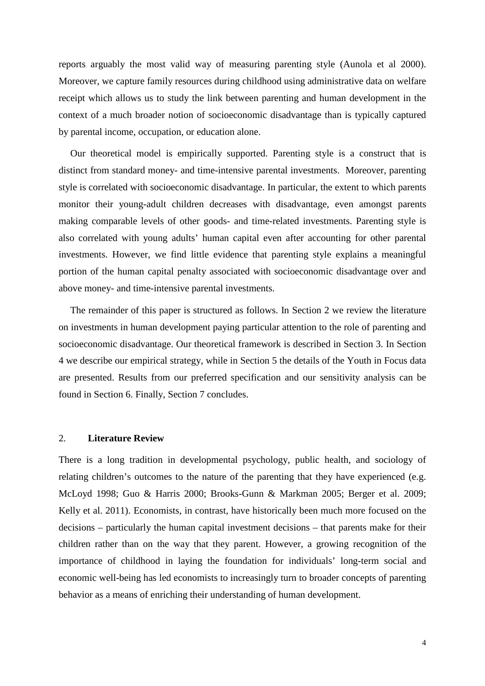reports arguably the most valid way of measuring parenting style (Aunola et al 2000). Moreover, we capture family resources during childhood using administrative data on welfare receipt which allows us to study the link between parenting and human development in the context of a much broader notion of socioeconomic disadvantage than is typically captured by parental income, occupation, or education alone.

Our theoretical model is empirically supported. Parenting style is a construct that is distinct from standard money- and time-intensive parental investments. Moreover, parenting style is correlated with socioeconomic disadvantage. In particular, the extent to which parents monitor their young-adult children decreases with disadvantage, even amongst parents making comparable levels of other goods- and time-related investments. Parenting style is also correlated with young adults' human capital even after accounting for other parental investments. However, we find little evidence that parenting style explains a meaningful portion of the human capital penalty associated with socioeconomic disadvantage over and above money- and time-intensive parental investments.

The remainder of this paper is structured as follows. In Section 2 we review the literature on investments in human development paying particular attention to the role of parenting and socioeconomic disadvantage. Our theoretical framework is described in Section 3. In Section 4 we describe our empirical strategy, while in Section 5 the details of the Youth in Focus data are presented. Results from our preferred specification and our sensitivity analysis can be found in Section 6. Finally, Section 7 concludes.

#### 2. **Literature Review**

There is a long tradition in developmental psychology, public health, and sociology of relating children's outcomes to the nature of the parenting that they have experienced (e.g. McLoyd 1998; Guo & Harris 2000; Brooks-Gunn & Markman 2005; Berger et al. 2009; Kelly et al. 2011). Economists, in contrast, have historically been much more focused on the decisions – particularly the human capital investment decisions – that parents make for their children rather than on the way that they parent. However, a growing recognition of the importance of childhood in laying the foundation for individuals' long-term social and economic well-being has led economists to increasingly turn to broader concepts of parenting behavior as a means of enriching their understanding of human development.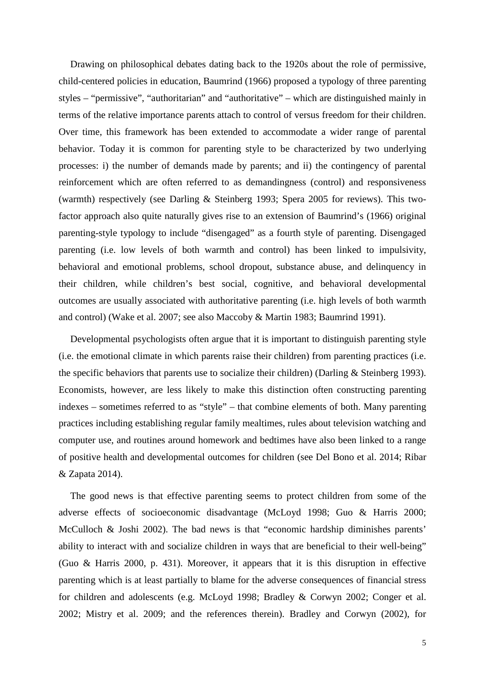Drawing on philosophical debates dating back to the 1920s about the role of permissive, child-centered policies in education, Baumrind (1966) proposed a typology of three parenting styles – "permissive", "authoritarian" and "authoritative" – which are distinguished mainly in terms of the relative importance parents attach to control of versus freedom for their children. Over time, this framework has been extended to accommodate a wider range of parental behavior. Today it is common for parenting style to be characterized by two underlying processes: i) the number of demands made by parents; and ii) the contingency of parental reinforcement which are often referred to as demandingness (control) and responsiveness (warmth) respectively (see Darling & Steinberg 1993; Spera 2005 for reviews). This twofactor approach also quite naturally gives rise to an extension of Baumrind's (1966) original parenting-style typology to include "disengaged" as a fourth style of parenting. Disengaged parenting (i.e. low levels of both warmth and control) has been linked to impulsivity, behavioral and emotional problems, school dropout, substance abuse, and delinquency in their children, while children's best social, cognitive, and behavioral developmental outcomes are usually associated with authoritative parenting (i.e. high levels of both warmth and control) (Wake et al. 2007; see also Maccoby & Martin 1983; Baumrind 1991).

Developmental psychologists often argue that it is important to distinguish parenting style (i.e. the emotional climate in which parents raise their children) from parenting practices (i.e. the specific behaviors that parents use to socialize their children) (Darling & Steinberg 1993). Economists, however, are less likely to make this distinction often constructing parenting indexes – sometimes referred to as "style" – that combine elements of both. Many parenting practices including establishing regular family mealtimes, rules about television watching and computer use, and routines around homework and bedtimes have also been linked to a range of positive health and developmental outcomes for children (see Del Bono et al. 2014; Ribar & Zapata 2014).

The good news is that effective parenting seems to protect children from some of the adverse effects of socioeconomic disadvantage (McLoyd 1998; Guo & Harris 2000; McCulloch & Joshi 2002). The bad news is that "economic hardship diminishes parents' ability to interact with and socialize children in ways that are beneficial to their well-being" (Guo & Harris 2000, p. 431). Moreover, it appears that it is this disruption in effective parenting which is at least partially to blame for the adverse consequences of financial stress for children and adolescents (e.g. McLoyd 1998; Bradley & Corwyn 2002; Conger et al. 2002; Mistry et al. 2009; and the references therein). Bradley and Corwyn (2002), for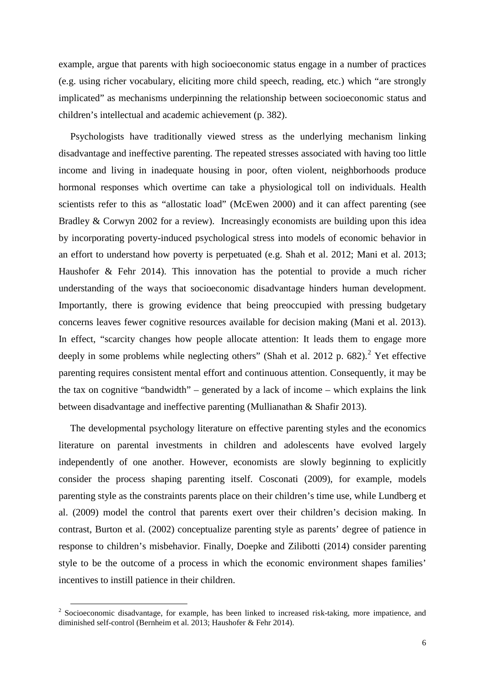example, argue that parents with high socioeconomic status engage in a number of practices (e.g. using richer vocabulary, eliciting more child speech, reading, etc.) which "are strongly implicated" as mechanisms underpinning the relationship between socioeconomic status and children's intellectual and academic achievement (p. 382).

Psychologists have traditionally viewed stress as the underlying mechanism linking disadvantage and ineffective parenting. The repeated stresses associated with having too little income and living in inadequate housing in poor, often violent, neighborhoods produce hormonal responses which overtime can take a physiological toll on individuals. Health scientists refer to this as "allostatic load" (McEwen 2000) and it can affect parenting (see Bradley & Corwyn 2002 for a review). Increasingly economists are building upon this idea by incorporating poverty-induced psychological stress into models of economic behavior in an effort to understand how poverty is perpetuated (e.g. Shah et al. 2012; Mani et al. 2013; Haushofer & Fehr 2014). This innovation has the potential to provide a much richer understanding of the ways that socioeconomic disadvantage hinders human development. Importantly, there is growing evidence that being preoccupied with pressing budgetary concerns leaves fewer cognitive resources available for decision making (Mani et al. 2013). In effect, "scarcity changes how people allocate attention: It leads them to engage more deeply in some problems while neglecting others" (Shah et al. [2](#page-8-0)012 p. 682).<sup>2</sup> Yet effective parenting requires consistent mental effort and continuous attention. Consequently, it may be the tax on cognitive "bandwidth" – generated by a lack of income – which explains the link between disadvantage and ineffective parenting (Mullianathan & Shafir 2013).

The developmental psychology literature on effective parenting styles and the economics literature on parental investments in children and adolescents have evolved largely independently of one another. However, economists are slowly beginning to explicitly consider the process shaping parenting itself. Cosconati (2009), for example, models parenting style as the constraints parents place on their children's time use, while Lundberg et al. (2009) model the control that parents exert over their children's decision making. In contrast, Burton et al. (2002) conceptualize parenting style as parents' degree of patience in response to children's misbehavior. Finally, Doepke and Zilibotti (2014) consider parenting style to be the outcome of a process in which the economic environment shapes families' incentives to instill patience in their children.

 $\overline{a}$ 

<span id="page-8-0"></span> $2$  Socioeconomic disadvantage, for example, has been linked to increased risk-taking, more impatience, and diminished self-control (Bernheim et al. 2013; Haushofer & Fehr 2014).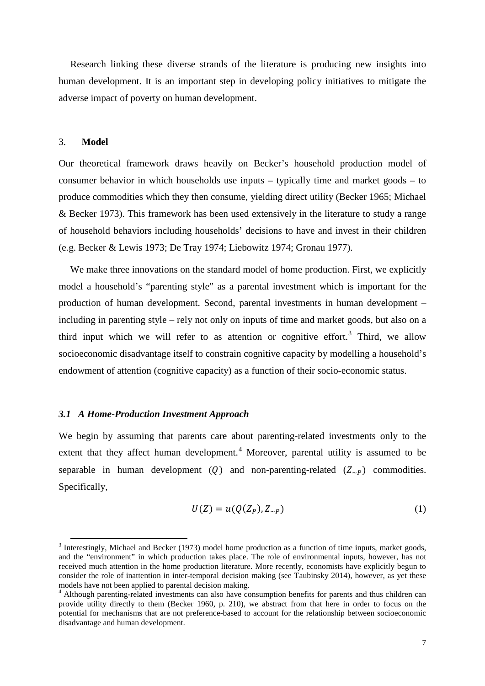Research linking these diverse strands of the literature is producing new insights into human development. It is an important step in developing policy initiatives to mitigate the adverse impact of poverty on human development.

#### 3. **Model**

 $\overline{a}$ 

Our theoretical framework draws heavily on Becker's household production model of consumer behavior in which households use inputs – typically time and market goods – to produce commodities which they then consume, yielding direct utility (Becker 1965; Michael & Becker 1973). This framework has been used extensively in the literature to study a range of household behaviors including households' decisions to have and invest in their children (e.g. Becker & Lewis 1973; De Tray 1974; Liebowitz 1974; Gronau 1977).

We make three innovations on the standard model of home production. First, we explicitly model a household's "parenting style" as a parental investment which is important for the production of human development. Second, parental investments in human development – including in parenting style – rely not only on inputs of time and market goods, but also on a third input which we will refer to as attention or cognitive effort.<sup>[3](#page-9-0)</sup> Third, we allow socioeconomic disadvantage itself to constrain cognitive capacity by modelling a household's endowment of attention (cognitive capacity) as a function of their socio-economic status.

#### *3.1 A Home-Production Investment Approach*

We begin by assuming that parents care about parenting-related investments only to the extent that they affect human development.<sup>[4](#page-9-1)</sup> Moreover, parental utility is assumed to be separable in human development (Q) and non-parenting-related  $(Z_{\sim P})$  commodities. Specifically,

$$
U(Z) = u(Q(Z_P), Z_{\sim P})
$$
\n<sup>(1)</sup>

<span id="page-9-0"></span><sup>&</sup>lt;sup>3</sup> Interestingly, Michael and Becker (1973) model home production as a function of time inputs, market goods, and the "environment" in which production takes place. The role of environmental inputs, however, has not received much attention in the home production literature. More recently, economists have explicitly begun to consider the role of inattention in inter-temporal decision making (see Taubinsky 2014), however, as yet these models have not been applied to parental decision making.

<span id="page-9-1"></span><sup>4</sup> Although parenting-related investments can also have consumption benefits for parents and thus children can provide utility directly to them (Becker 1960, p. 210), we abstract from that here in order to focus on the potential for mechanisms that are not preference-based to account for the relationship between socioeconomic disadvantage and human development.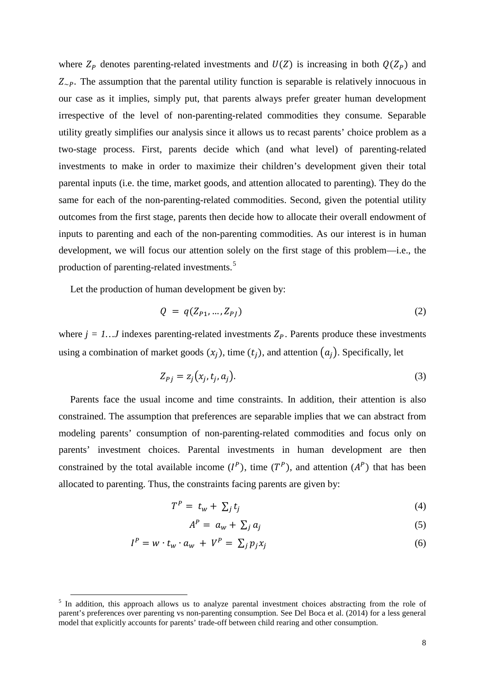where  $Z_p$  denotes parenting-related investments and  $U(Z)$  is increasing in both  $Q(Z_p)$  and  $Z_{\sim P}$ . The assumption that the parental utility function is separable is relatively innocuous in our case as it implies, simply put, that parents always prefer greater human development irrespective of the level of non-parenting-related commodities they consume. Separable utility greatly simplifies our analysis since it allows us to recast parents' choice problem as a two-stage process. First, parents decide which (and what level) of parenting-related investments to make in order to maximize their children's development given their total parental inputs (i.e. the time, market goods, and attention allocated to parenting). They do the same for each of the non-parenting-related commodities. Second, given the potential utility outcomes from the first stage, parents then decide how to allocate their overall endowment of inputs to parenting and each of the non-parenting commodities. As our interest is in human development, we will focus our attention solely on the first stage of this problem—i.e., the production of parenting-related investments.<sup>[5](#page-10-0)</sup>

Let the production of human development be given by:

 $\overline{a}$ 

$$
Q = q(Z_{P1}, \ldots, Z_{PI}) \tag{2}
$$

where  $j = 1...J$  indexes parenting-related investments  $Z_p$ . Parents produce these investments using a combination of market goods  $(x_i)$ , time  $(t_i)$ , and attention  $(a_i)$ . Specifically, let

$$
Z_{Pj} = z_j(x_j, t_j, a_j). \tag{3}
$$

Parents face the usual income and time constraints. In addition, their attention is also constrained. The assumption that preferences are separable implies that we can abstract from modeling parents' consumption of non-parenting-related commodities and focus only on parents' investment choices. Parental investments in human development are then constrained by the total available income  $(I^P)$ , time  $(T^P)$ , and attention  $(A^P)$  that has been allocated to parenting. Thus, the constraints facing parents are given by:

$$
T^P = t_w + \sum_j t_j \tag{4}
$$

$$
A^P = a_w + \sum_j a_j \tag{5}
$$

$$
I^{P} = w \cdot t_{w} \cdot a_{w} + V^{P} = \sum_{j} p_{j} x_{j} \tag{6}
$$

<span id="page-10-0"></span><sup>&</sup>lt;sup>5</sup> In addition, this approach allows us to analyze parental investment choices abstracting from the role of parent's preferences over parenting vs non-parenting consumption. See Del Boca et al. (2014) for a less general model that explicitly accounts for parents' trade-off between child rearing and other consumption.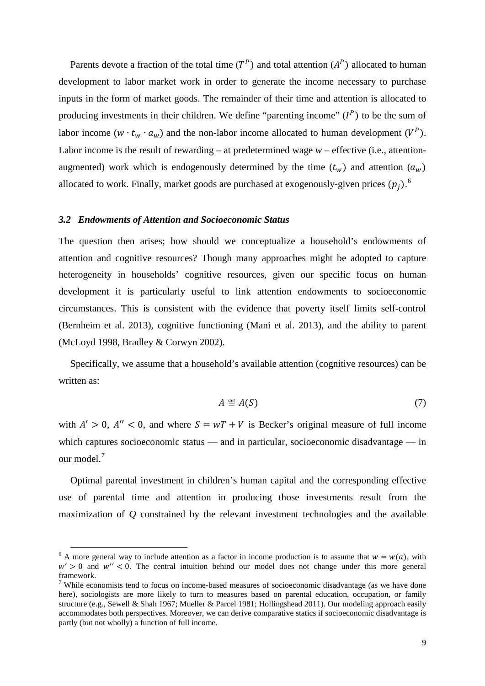Parents devote a fraction of the total time  $(T^P)$  and total attention  $(A^P)$  allocated to human development to labor market work in order to generate the income necessary to purchase inputs in the form of market goods. The remainder of their time and attention is allocated to producing investments in their children. We define "parenting income"  $(I^P)$  to be the sum of labor income  $(w \cdot t_w \cdot a_w)$  and the non-labor income allocated to human development  $(V^P)$ . Labor income is the result of rewarding – at predetermined wage  $w$  – effective (i.e., attentionaugmented) work which is endogenously determined by the time  $(t_w)$  and attention  $(a_w)$ allocated to work. Finally, market goods are purchased at exogenously-given prices  $(p_j)$ .<sup>[6](#page-11-0)</sup>

#### *3.2 Endowments of Attention and Socioeconomic Status*

 $\overline{a}$ 

The question then arises; how should we conceptualize a household's endowments of attention and cognitive resources? Though many approaches might be adopted to capture heterogeneity in households' cognitive resources, given our specific focus on human development it is particularly useful to link attention endowments to socioeconomic circumstances. This is consistent with the evidence that poverty itself limits self-control (Bernheim et al. 2013), cognitive functioning (Mani et al. 2013), and the ability to parent (McLoyd 1998, Bradley & Corwyn 2002).

Specifically, we assume that a household's available attention (cognitive resources) can be written as:

$$
A \stackrel{\text{def}}{=} A(S) \tag{7}
$$

with  $A' > 0$ ,  $A'' < 0$ , and where  $S = wT + V$  is Becker's original measure of full income which captures socioeconomic status — and in particular, socioeconomic disadvantage — in our model.[7](#page-11-1)

Optimal parental investment in children's human capital and the corresponding effective use of parental time and attention in producing those investments result from the maximization of *Q* constrained by the relevant investment technologies and the available

<span id="page-11-0"></span><sup>&</sup>lt;sup>6</sup> A more general way to include attention as a factor in income production is to assume that  $w = w(a)$ , with  $w' > 0$  and  $w'' < 0$ . The central intuition behind our model does not change under this more general framework.

<span id="page-11-1"></span> $7$  While economists tend to focus on income-based measures of socioeconomic disadvantage (as we have done here), sociologists are more likely to turn to measures based on parental education, occupation, or family structure (e.g., Sewell & Shah 1967; Mueller & Parcel 1981; Hollingshead 2011). Our modeling approach easily accommodates both perspectives. Moreover, we can derive comparative statics if socioeconomic disadvantage is partly (but not wholly) a function of full income.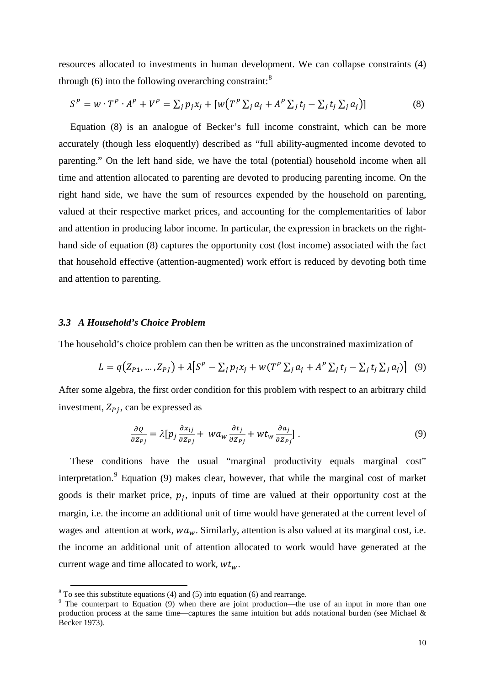resources allocated to investments in human development. We can collapse constraints (4) through  $(6)$  into the following overarching constraint:<sup>[8](#page-12-0)</sup>

$$
S^{P} = w \cdot T^{P} \cdot A^{P} + V^{P} = \sum_{j} p_{j} x_{j} + [w(T^{P} \sum_{j} a_{j} + A^{P} \sum_{j} t_{j} - \sum_{j} t_{j} \sum_{j} a_{j})]
$$
(8)

Equation (8) is an analogue of Becker's full income constraint, which can be more accurately (though less eloquently) described as "full ability-augmented income devoted to parenting." On the left hand side, we have the total (potential) household income when all time and attention allocated to parenting are devoted to producing parenting income. On the right hand side, we have the sum of resources expended by the household on parenting, valued at their respective market prices, and accounting for the complementarities of labor and attention in producing labor income. In particular, the expression in brackets on the righthand side of equation (8) captures the opportunity cost (lost income) associated with the fact that household effective (attention-augmented) work effort is reduced by devoting both time and attention to parenting.

#### *3.3 A Household's Choice Problem*

 $\overline{a}$ 

The household's choice problem can then be written as the unconstrained maximization of

$$
L = q(Z_{P1}, ..., Z_{PJ}) + \lambda [S^{P} - \sum_{j} p_{j} x_{j} + w(T^{P} \sum_{j} a_{j} + A^{P} \sum_{j} t_{j} - \sum_{j} t_{j} \sum_{j} a_{j})]
$$
(9)

After some algebra, the first order condition for this problem with respect to an arbitrary child investment,  $Z_{Pi}$ , can be expressed as

$$
\frac{\partial Q}{\partial z_{Pj}} = \lambda [p_j \frac{\partial x_{ij}}{\partial z_{Pj}} + w a_w \frac{\partial t_j}{\partial z_{Pj}} + w t_w \frac{\partial a_j}{\partial z_{Pj}}].
$$
\n(9)

These conditions have the usual "marginal productivity equals marginal cost" interpretation.<sup>[9](#page-12-1)</sup> Equation (9) makes clear, however, that while the marginal cost of market goods is their market price,  $p_i$ , inputs of time are valued at their opportunity cost at the margin, i.e. the income an additional unit of time would have generated at the current level of wages and attention at work,  $wa_w$ . Similarly, attention is also valued at its marginal cost, i.e. the income an additional unit of attention allocated to work would have generated at the current wage and time allocated to work,  $wt_w$ .

<span id="page-12-1"></span>

<span id="page-12-0"></span><sup>&</sup>lt;sup>8</sup> To see this substitute equations (4) and (5) into equation (6) and rearrange.<br><sup>9</sup> The counterpart to Equation (9) when there are joint production—the use of an input in more than one production process at the same time—captures the same intuition but adds notational burden (see Michael & Becker 1973).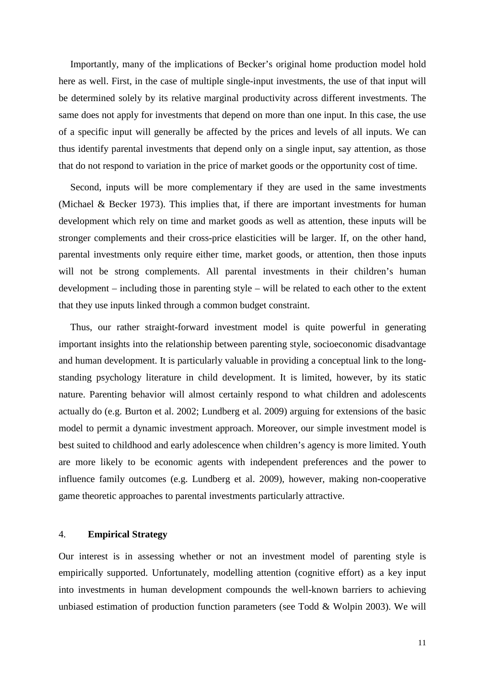Importantly, many of the implications of Becker's original home production model hold here as well. First, in the case of multiple single-input investments, the use of that input will be determined solely by its relative marginal productivity across different investments. The same does not apply for investments that depend on more than one input. In this case, the use of a specific input will generally be affected by the prices and levels of all inputs. We can thus identify parental investments that depend only on a single input, say attention, as those that do not respond to variation in the price of market goods or the opportunity cost of time.

Second, inputs will be more complementary if they are used in the same investments (Michael & Becker 1973). This implies that, if there are important investments for human development which rely on time and market goods as well as attention, these inputs will be stronger complements and their cross-price elasticities will be larger. If, on the other hand, parental investments only require either time, market goods, or attention, then those inputs will not be strong complements. All parental investments in their children's human development – including those in parenting style – will be related to each other to the extent that they use inputs linked through a common budget constraint.

Thus, our rather straight-forward investment model is quite powerful in generating important insights into the relationship between parenting style, socioeconomic disadvantage and human development. It is particularly valuable in providing a conceptual link to the longstanding psychology literature in child development. It is limited, however, by its static nature. Parenting behavior will almost certainly respond to what children and adolescents actually do (e.g. Burton et al. 2002; Lundberg et al. 2009) arguing for extensions of the basic model to permit a dynamic investment approach. Moreover, our simple investment model is best suited to childhood and early adolescence when children's agency is more limited. Youth are more likely to be economic agents with independent preferences and the power to influence family outcomes (e.g. Lundberg et al. 2009), however, making non-cooperative game theoretic approaches to parental investments particularly attractive.

## 4. **Empirical Strategy**

Our interest is in assessing whether or not an investment model of parenting style is empirically supported. Unfortunately, modelling attention (cognitive effort) as a key input into investments in human development compounds the well-known barriers to achieving unbiased estimation of production function parameters (see Todd & Wolpin 2003). We will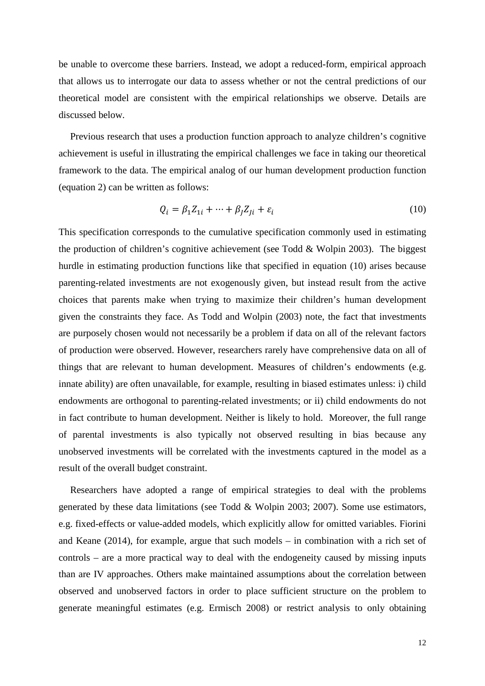be unable to overcome these barriers. Instead, we adopt a reduced-form, empirical approach that allows us to interrogate our data to assess whether or not the central predictions of our theoretical model are consistent with the empirical relationships we observe. Details are discussed below.

Previous research that uses a production function approach to analyze children's cognitive achievement is useful in illustrating the empirical challenges we face in taking our theoretical framework to the data. The empirical analog of our human development production function (equation 2) can be written as follows:

$$
Q_i = \beta_1 Z_{1i} + \dots + \beta_j Z_{ji} + \varepsilon_i \tag{10}
$$

This specification corresponds to the cumulative specification commonly used in estimating the production of children's cognitive achievement (see Todd & Wolpin 2003). The biggest hurdle in estimating production functions like that specified in equation (10) arises because parenting-related investments are not exogenously given, but instead result from the active choices that parents make when trying to maximize their children's human development given the constraints they face. As Todd and Wolpin (2003) note, the fact that investments are purposely chosen would not necessarily be a problem if data on all of the relevant factors of production were observed. However, researchers rarely have comprehensive data on all of things that are relevant to human development. Measures of children's endowments (e.g. innate ability) are often unavailable, for example, resulting in biased estimates unless: i) child endowments are orthogonal to parenting-related investments; or ii) child endowments do not in fact contribute to human development. Neither is likely to hold. Moreover, the full range of parental investments is also typically not observed resulting in bias because any unobserved investments will be correlated with the investments captured in the model as a result of the overall budget constraint.

Researchers have adopted a range of empirical strategies to deal with the problems generated by these data limitations (see Todd & Wolpin 2003; 2007). Some use estimators, e.g. fixed-effects or value-added models, which explicitly allow for omitted variables. Fiorini and Keane (2014), for example, argue that such models – in combination with a rich set of controls – are a more practical way to deal with the endogeneity caused by missing inputs than are IV approaches. Others make maintained assumptions about the correlation between observed and unobserved factors in order to place sufficient structure on the problem to generate meaningful estimates (e.g. Ermisch 2008) or restrict analysis to only obtaining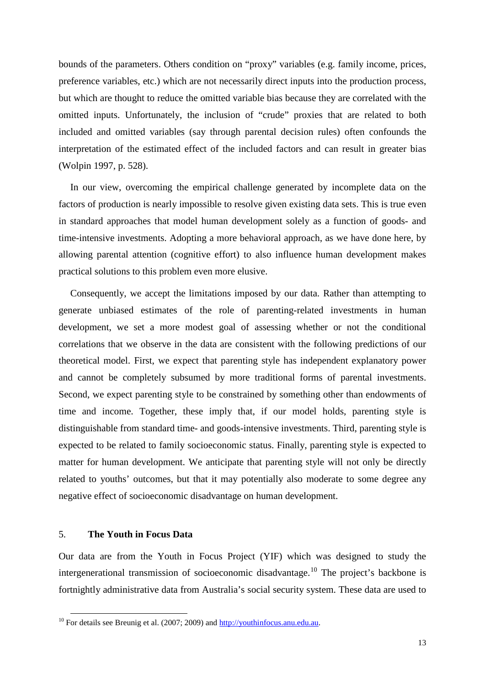bounds of the parameters. Others condition on "proxy" variables (e.g. family income, prices, preference variables, etc.) which are not necessarily direct inputs into the production process, but which are thought to reduce the omitted variable bias because they are correlated with the omitted inputs. Unfortunately, the inclusion of "crude" proxies that are related to both included and omitted variables (say through parental decision rules) often confounds the interpretation of the estimated effect of the included factors and can result in greater bias (Wolpin 1997, p. 528).

In our view, overcoming the empirical challenge generated by incomplete data on the factors of production is nearly impossible to resolve given existing data sets. This is true even in standard approaches that model human development solely as a function of goods- and time-intensive investments. Adopting a more behavioral approach, as we have done here, by allowing parental attention (cognitive effort) to also influence human development makes practical solutions to this problem even more elusive.

Consequently, we accept the limitations imposed by our data. Rather than attempting to generate unbiased estimates of the role of parenting-related investments in human development, we set a more modest goal of assessing whether or not the conditional correlations that we observe in the data are consistent with the following predictions of our theoretical model. First, we expect that parenting style has independent explanatory power and cannot be completely subsumed by more traditional forms of parental investments. Second, we expect parenting style to be constrained by something other than endowments of time and income. Together, these imply that, if our model holds, parenting style is distinguishable from standard time- and goods-intensive investments. Third, parenting style is expected to be related to family socioeconomic status. Finally, parenting style is expected to matter for human development. We anticipate that parenting style will not only be directly related to youths' outcomes, but that it may potentially also moderate to some degree any negative effect of socioeconomic disadvantage on human development.

## 5. **The Youth in Focus Data**

 $\overline{a}$ 

Our data are from the Youth in Focus Project (YIF) which was designed to study the intergenerational transmission of socioeconomic disadvantage.<sup>[10](#page-15-0)</sup> The project's backbone is fortnightly administrative data from Australia's social security system. These data are used to

<span id="page-15-0"></span> $10$  For details see Breunig et al. (2007; 2009) and [http://youthinfocus.anu.edu.au.](http://youthinfocus.anu.edu.au/)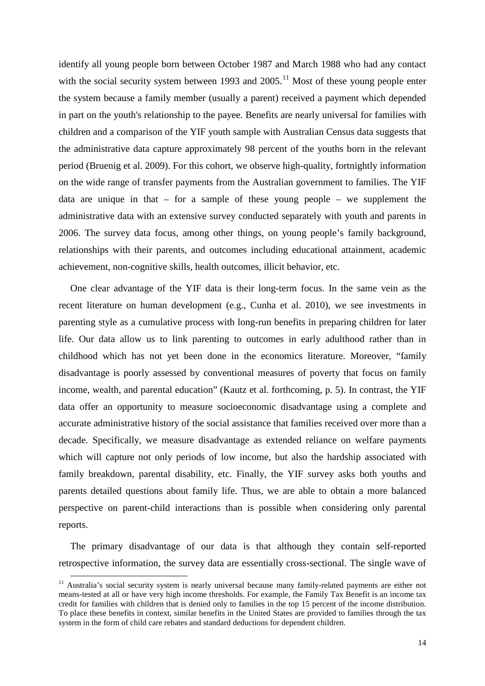identify all young people born between October 1987 and March 1988 who had any contact with the social security system between 1993 and  $2005$ .<sup>[11](#page-16-0)</sup> Most of these young people enter the system because a family member (usually a parent) received a payment which depended in part on the youth's relationship to the payee. Benefits are nearly universal for families with children and a comparison of the YIF youth sample with Australian Census data suggests that the administrative data capture approximately 98 percent of the youths born in the relevant period (Bruenig et al. 2009). For this cohort, we observe high-quality, fortnightly information on the wide range of transfer payments from the Australian government to families. The YIF data are unique in that – for a sample of these young people – we supplement the administrative data with an extensive survey conducted separately with youth and parents in 2006. The survey data focus, among other things, on young people's family background, relationships with their parents, and outcomes including educational attainment, academic achievement, non-cognitive skills, health outcomes, illicit behavior, etc.

One clear advantage of the YIF data is their long-term focus. In the same vein as the recent literature on human development (e.g., Cunha et al. 2010), we see investments in parenting style as a cumulative process with long-run benefits in preparing children for later life. Our data allow us to link parenting to outcomes in early adulthood rather than in childhood which has not yet been done in the economics literature. Moreover, "family disadvantage is poorly assessed by conventional measures of poverty that focus on family income, wealth, and parental education" (Kautz et al. forthcoming, p. 5). In contrast, the YIF data offer an opportunity to measure socioeconomic disadvantage using a complete and accurate administrative history of the social assistance that families received over more than a decade. Specifically, we measure disadvantage as extended reliance on welfare payments which will capture not only periods of low income, but also the hardship associated with family breakdown, parental disability, etc. Finally, the YIF survey asks both youths and parents detailed questions about family life. Thus, we are able to obtain a more balanced perspective on parent-child interactions than is possible when considering only parental reports.

The primary disadvantage of our data is that although they contain self-reported retrospective information, the survey data are essentially cross-sectional. The single wave of

 $\overline{a}$ 

<span id="page-16-0"></span><sup>&</sup>lt;sup>11</sup> Australia's social security system is nearly universal because many family-related payments are either not means-tested at all or have very high income thresholds. For example, the Family Tax Benefit is an income tax credit for families with children that is denied only to families in the top 15 percent of the income distribution. To place these benefits in context, similar benefits in the United States are provided to families through the tax system in the form of child care rebates and standard deductions for dependent children.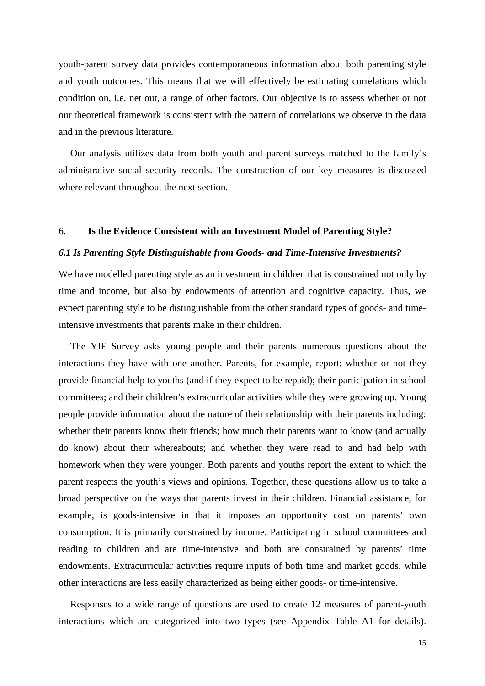youth-parent survey data provides contemporaneous information about both parenting style and youth outcomes. This means that we will effectively be estimating correlations which condition on, i.e. net out, a range of other factors. Our objective is to assess whether or not our theoretical framework is consistent with the pattern of correlations we observe in the data and in the previous literature.

Our analysis utilizes data from both youth and parent surveys matched to the family's administrative social security records. The construction of our key measures is discussed where relevant throughout the next section.

### 6. **Is the Evidence Consistent with an Investment Model of Parenting Style?**

#### *6.1 Is Parenting Style Distinguishable from Goods- and Time-Intensive Investments?*

We have modelled parenting style as an investment in children that is constrained not only by time and income, but also by endowments of attention and cognitive capacity. Thus, we expect parenting style to be distinguishable from the other standard types of goods- and timeintensive investments that parents make in their children.

The YIF Survey asks young people and their parents numerous questions about the interactions they have with one another. Parents, for example, report: whether or not they provide financial help to youths (and if they expect to be repaid); their participation in school committees; and their children's extracurricular activities while they were growing up. Young people provide information about the nature of their relationship with their parents including: whether their parents know their friends; how much their parents want to know (and actually do know) about their whereabouts; and whether they were read to and had help with homework when they were younger. Both parents and youths report the extent to which the parent respects the youth's views and opinions. Together, these questions allow us to take a broad perspective on the ways that parents invest in their children. Financial assistance, for example, is goods-intensive in that it imposes an opportunity cost on parents' own consumption. It is primarily constrained by income. Participating in school committees and reading to children and are time-intensive and both are constrained by parents' time endowments. Extracurricular activities require inputs of both time and market goods, while other interactions are less easily characterized as being either goods- or time-intensive.

Responses to a wide range of questions are used to create 12 measures of parent-youth interactions which are categorized into two types (see Appendix Table A1 for details).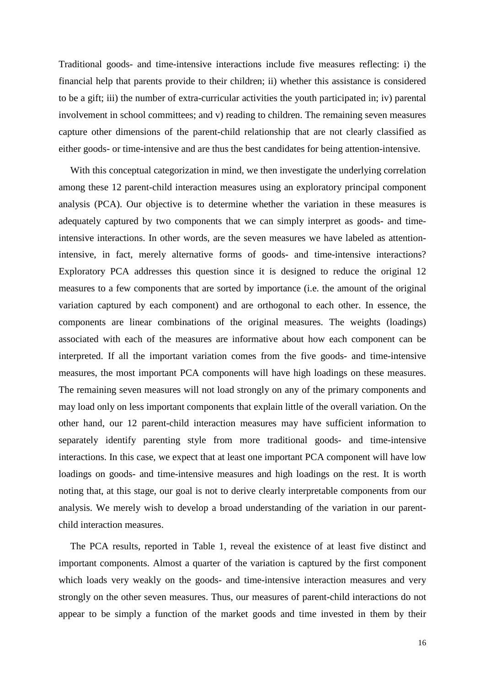Traditional goods- and time-intensive interactions include five measures reflecting: i) the financial help that parents provide to their children; ii) whether this assistance is considered to be a gift; iii) the number of extra-curricular activities the youth participated in; iv) parental involvement in school committees; and v) reading to children. The remaining seven measures capture other dimensions of the parent-child relationship that are not clearly classified as either goods- or time-intensive and are thus the best candidates for being attention-intensive.

With this conceptual categorization in mind, we then investigate the underlying correlation among these 12 parent-child interaction measures using an exploratory principal component analysis (PCA). Our objective is to determine whether the variation in these measures is adequately captured by two components that we can simply interpret as goods- and timeintensive interactions. In other words, are the seven measures we have labeled as attentionintensive, in fact, merely alternative forms of goods- and time-intensive interactions? Exploratory PCA addresses this question since it is designed to reduce the original 12 measures to a few components that are sorted by importance (i.e. the amount of the original variation captured by each component) and are orthogonal to each other. In essence, the components are linear combinations of the original measures. The weights (loadings) associated with each of the measures are informative about how each component can be interpreted. If all the important variation comes from the five goods- and time-intensive measures, the most important PCA components will have high loadings on these measures. The remaining seven measures will not load strongly on any of the primary components and may load only on less important components that explain little of the overall variation. On the other hand, our 12 parent-child interaction measures may have sufficient information to separately identify parenting style from more traditional goods- and time-intensive interactions. In this case, we expect that at least one important PCA component will have low loadings on goods- and time-intensive measures and high loadings on the rest. It is worth noting that, at this stage, our goal is not to derive clearly interpretable components from our analysis. We merely wish to develop a broad understanding of the variation in our parentchild interaction measures.

The PCA results, reported in Table 1, reveal the existence of at least five distinct and important components. Almost a quarter of the variation is captured by the first component which loads very weakly on the goods- and time-intensive interaction measures and very strongly on the other seven measures. Thus, our measures of parent-child interactions do not appear to be simply a function of the market goods and time invested in them by their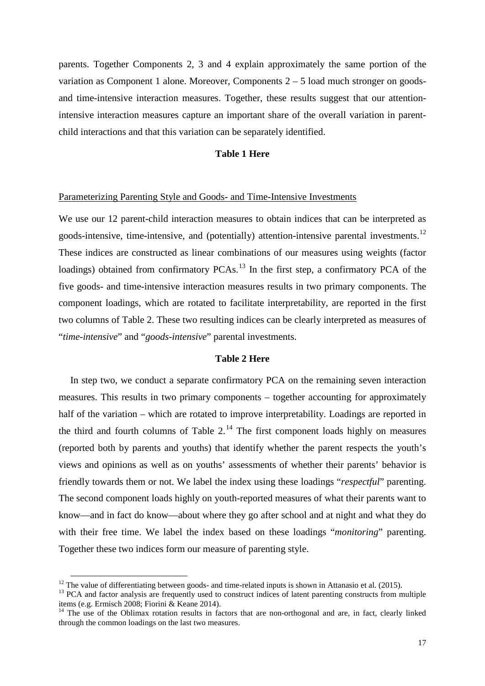parents. Together Components 2, 3 and 4 explain approximately the same portion of the variation as Component 1 alone. Moreover, Components 2 – 5 load much stronger on goodsand time-intensive interaction measures. Together, these results suggest that our attentionintensive interaction measures capture an important share of the overall variation in parentchild interactions and that this variation can be separately identified.

#### **Table 1 Here**

#### Parameterizing Parenting Style and Goods- and Time-Intensive Investments

We use our 12 parent-child interaction measures to obtain indices that can be interpreted as goods-intensive, time-intensive, and (potentially) attention-intensive parental investments.<sup>[12](#page-19-0)</sup> These indices are constructed as linear combinations of our measures using weights (factor loadings) obtained from confirmatory PCAs.<sup>[13](#page-19-1)</sup> In the first step, a confirmatory PCA of the five goods- and time-intensive interaction measures results in two primary components. The component loadings, which are rotated to facilitate interpretability, are reported in the first two columns of Table 2. These two resulting indices can be clearly interpreted as measures of "*time-intensive*" and "*goods-intensive*" parental investments.

#### **Table 2 Here**

In step two, we conduct a separate confirmatory PCA on the remaining seven interaction measures. This results in two primary components – together accounting for approximately half of the variation – which are rotated to improve interpretability. Loadings are reported in the third and fourth columns of Table  $2<sup>14</sup>$  $2<sup>14</sup>$  $2<sup>14</sup>$ . The first component loads highly on measures (reported both by parents and youths) that identify whether the parent respects the youth's views and opinions as well as on youths' assessments of whether their parents' behavior is friendly towards them or not. We label the index using these loadings "*respectful*" parenting. The second component loads highly on youth-reported measures of what their parents want to know—and in fact do know—about where they go after school and at night and what they do with their free time. We label the index based on these loadings "*monitoring*" parenting. Together these two indices form our measure of parenting style.

 $12$  The value of differentiating between goods- and time-related inputs is shown in Attanasio et al. (2015).

<span id="page-19-1"></span><span id="page-19-0"></span><sup>&</sup>lt;sup>13</sup> PCA and factor analysis are frequently used to construct indices of latent parenting constructs from multiple items (e.g. Ermisch 2008; Fiorini & Keane 2014).

<span id="page-19-2"></span> $14$  The use of the Oblimax rotation results in factors that are non-orthogonal and are, in fact, clearly linked through the common loadings on the last two measures.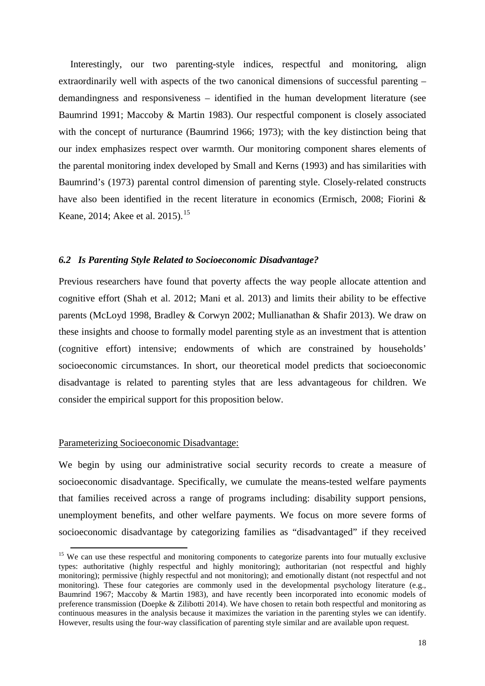Interestingly, our two parenting-style indices, respectful and monitoring, align extraordinarily well with aspects of the two canonical dimensions of successful parenting – demandingness and responsiveness – identified in the human development literature (see Baumrind 1991; Maccoby & Martin 1983). Our respectful component is closely associated with the concept of nurturance (Baumrind 1966; 1973); with the key distinction being that our index emphasizes respect over warmth. Our monitoring component shares elements of the parental monitoring index developed by Small and Kerns (1993) and has similarities with Baumrind's (1973) parental control dimension of parenting style. Closely-related constructs have also been identified in the recent literature in economics (Ermisch, 2008; Fiorini & Keane, 2014; Akee et al. 20[15](#page-20-0)).<sup>15</sup>

#### *6.2 Is Parenting Style Related to Socioeconomic Disadvantage?*

Previous researchers have found that poverty affects the way people allocate attention and cognitive effort (Shah et al. 2012; Mani et al. 2013) and limits their ability to be effective parents (McLoyd 1998, Bradley & Corwyn 2002; Mullianathan & Shafir 2013). We draw on these insights and choose to formally model parenting style as an investment that is attention (cognitive effort) intensive; endowments of which are constrained by households' socioeconomic circumstances. In short, our theoretical model predicts that socioeconomic disadvantage is related to parenting styles that are less advantageous for children. We consider the empirical support for this proposition below.

#### Parameterizing Socioeconomic Disadvantage:

 $\overline{a}$ 

We begin by using our administrative social security records to create a measure of socioeconomic disadvantage. Specifically, we cumulate the means-tested welfare payments that families received across a range of programs including: disability support pensions, unemployment benefits, and other welfare payments. We focus on more severe forms of socioeconomic disadvantage by categorizing families as "disadvantaged" if they received

<span id="page-20-0"></span><sup>&</sup>lt;sup>15</sup> We can use these respectful and monitoring components to categorize parents into four mutually exclusive types: authoritative (highly respectful and highly monitoring); authoritarian (not respectful and highly monitoring); permissive (highly respectful and not monitoring); and emotionally distant (not respectful and not monitoring). These four categories are commonly used in the developmental psychology literature (e.g., Baumrind 1967; Maccoby & Martin 1983), and have recently been incorporated into economic models of preference transmission (Doepke & Zilibotti 2014). We have chosen to retain both respectful and monitoring as continuous measures in the analysis because it maximizes the variation in the parenting styles we can identify. However, results using the four-way classification of parenting style similar and are available upon request.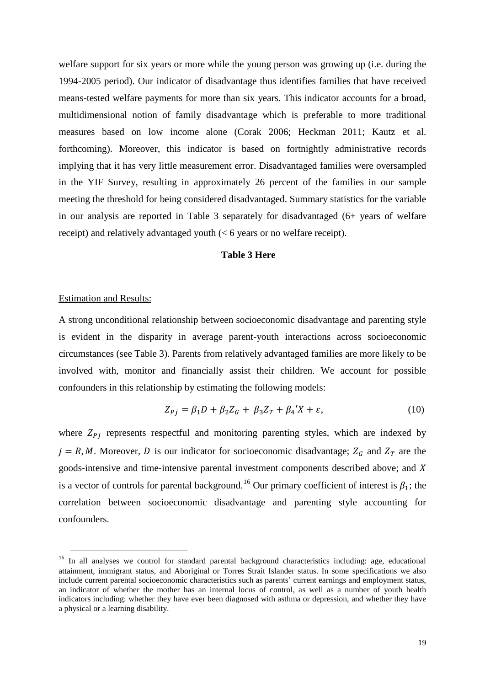welfare support for six years or more while the young person was growing up (i.e. during the 1994-2005 period). Our indicator of disadvantage thus identifies families that have received means-tested welfare payments for more than six years. This indicator accounts for a broad, multidimensional notion of family disadvantage which is preferable to more traditional measures based on low income alone (Corak 2006; Heckman 2011; Kautz et al. forthcoming). Moreover, this indicator is based on fortnightly administrative records implying that it has very little measurement error. Disadvantaged families were oversampled in the YIF Survey, resulting in approximately 26 percent of the families in our sample meeting the threshold for being considered disadvantaged. Summary statistics for the variable in our analysis are reported in Table 3 separately for disadvantaged (6+ years of welfare receipt) and relatively advantaged youth (< 6 years or no welfare receipt).

## **Table 3 Here**

#### Estimation and Results:

 $\overline{a}$ 

A strong unconditional relationship between socioeconomic disadvantage and parenting style is evident in the disparity in average parent-youth interactions across socioeconomic circumstances (see Table 3). Parents from relatively advantaged families are more likely to be involved with, monitor and financially assist their children. We account for possible confounders in this relationship by estimating the following models:

$$
Z_{Pj} = \beta_1 D + \beta_2 Z_G + \beta_3 Z_T + \beta_4' X + \varepsilon,
$$
\n(10)

where  $Z_{pi}$  represents respectful and monitoring parenting styles, which are indexed by  $i = R, M$ . Moreover, D is our indicator for socioeconomic disadvantage;  $Z_G$  and  $Z_T$  are the goods-intensive and time-intensive parental investment components described above; and is a vector of controls for parental background.<sup>[16](#page-21-0)</sup> Our primary coefficient of interest is  $\beta_1$ ; the correlation between socioeconomic disadvantage and parenting style accounting for confounders.

<span id="page-21-0"></span><sup>&</sup>lt;sup>16</sup> In all analyses we control for standard parental background characteristics including: age, educational attainment, immigrant status, and Aboriginal or Torres Strait Islander status. In some specifications we also include current parental socioeconomic characteristics such as parents' current earnings and employment status, an indicator of whether the mother has an internal locus of control, as well as a number of youth health indicators including: whether they have ever been diagnosed with asthma or depression, and whether they have a physical or a learning disability.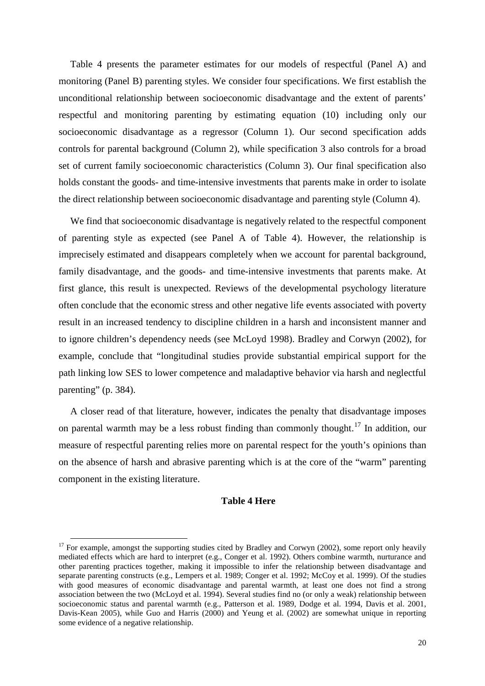Table 4 presents the parameter estimates for our models of respectful (Panel A) and monitoring (Panel B) parenting styles. We consider four specifications. We first establish the unconditional relationship between socioeconomic disadvantage and the extent of parents' respectful and monitoring parenting by estimating equation (10) including only our socioeconomic disadvantage as a regressor (Column 1). Our second specification adds controls for parental background (Column 2), while specification 3 also controls for a broad set of current family socioeconomic characteristics (Column 3). Our final specification also holds constant the goods- and time-intensive investments that parents make in order to isolate the direct relationship between socioeconomic disadvantage and parenting style (Column 4).

We find that socioeconomic disadvantage is negatively related to the respectful component of parenting style as expected (see Panel A of Table 4). However, the relationship is imprecisely estimated and disappears completely when we account for parental background, family disadvantage, and the goods- and time-intensive investments that parents make. At first glance, this result is unexpected. Reviews of the developmental psychology literature often conclude that the economic stress and other negative life events associated with poverty result in an increased tendency to discipline children in a harsh and inconsistent manner and to ignore children's dependency needs (see McLoyd 1998). Bradley and Corwyn (2002), for example, conclude that "longitudinal studies provide substantial empirical support for the path linking low SES to lower competence and maladaptive behavior via harsh and neglectful parenting" (p. 384).

A closer read of that literature, however, indicates the penalty that disadvantage imposes on parental warmth may be a less robust finding than commonly thought.<sup>[17](#page-22-0)</sup> In addition, our measure of respectful parenting relies more on parental respect for the youth's opinions than on the absence of harsh and abrasive parenting which is at the core of the "warm" parenting component in the existing literature.

#### **Table 4 Here**

 $\overline{a}$ 

<span id="page-22-0"></span> $17$  For example, amongst the supporting studies cited by Bradley and Corwyn (2002), some report only heavily mediated effects which are hard to interpret (e.g., Conger et al. 1992). Others combine warmth, nurturance and other parenting practices together, making it impossible to infer the relationship between disadvantage and separate parenting constructs (e.g., Lempers et al. 1989; Conger et al. 1992; McCoy et al. 1999). Of the studies with good measures of economic disadvantage and parental warmth, at least one does not find a strong association between the two (McLoyd et al. 1994). Several studies find no (or only a weak) relationship between socioeconomic status and parental warmth (e.g., Patterson et al. 1989, Dodge et al. 1994, Davis et al. 2001, Davis-Kean 2005), while Guo and Harris (2000) and Yeung et al. (2002) are somewhat unique in reporting some evidence of a negative relationship.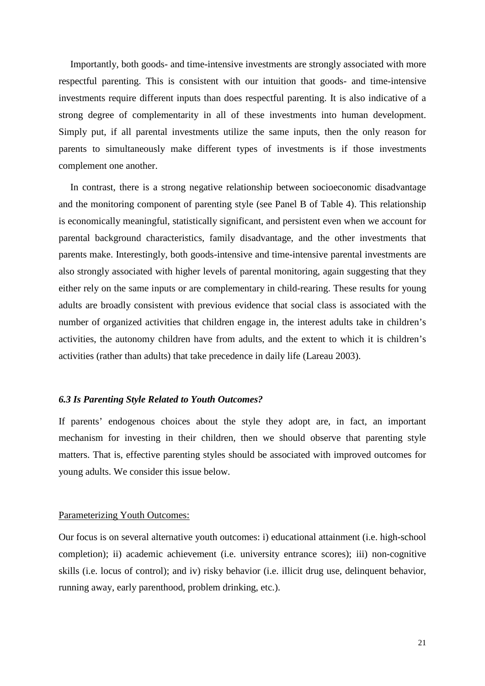Importantly, both goods- and time-intensive investments are strongly associated with more respectful parenting. This is consistent with our intuition that goods- and time-intensive investments require different inputs than does respectful parenting. It is also indicative of a strong degree of complementarity in all of these investments into human development. Simply put, if all parental investments utilize the same inputs, then the only reason for parents to simultaneously make different types of investments is if those investments complement one another.

In contrast, there is a strong negative relationship between socioeconomic disadvantage and the monitoring component of parenting style (see Panel B of Table 4). This relationship is economically meaningful, statistically significant, and persistent even when we account for parental background characteristics, family disadvantage, and the other investments that parents make. Interestingly, both goods-intensive and time-intensive parental investments are also strongly associated with higher levels of parental monitoring, again suggesting that they either rely on the same inputs or are complementary in child-rearing. These results for young adults are broadly consistent with previous evidence that social class is associated with the number of organized activities that children engage in, the interest adults take in children's activities, the autonomy children have from adults, and the extent to which it is children's activities (rather than adults) that take precedence in daily life (Lareau 2003).

#### *6.3 Is Parenting Style Related to Youth Outcomes?*

If parents' endogenous choices about the style they adopt are, in fact, an important mechanism for investing in their children, then we should observe that parenting style matters. That is, effective parenting styles should be associated with improved outcomes for young adults. We consider this issue below.

#### Parameterizing Youth Outcomes:

Our focus is on several alternative youth outcomes: i) educational attainment (i.e. high-school completion); ii) academic achievement (i.e. university entrance scores); iii) non-cognitive skills (i.e. locus of control); and iv) risky behavior (i.e. illicit drug use, delinquent behavior, running away, early parenthood, problem drinking, etc.).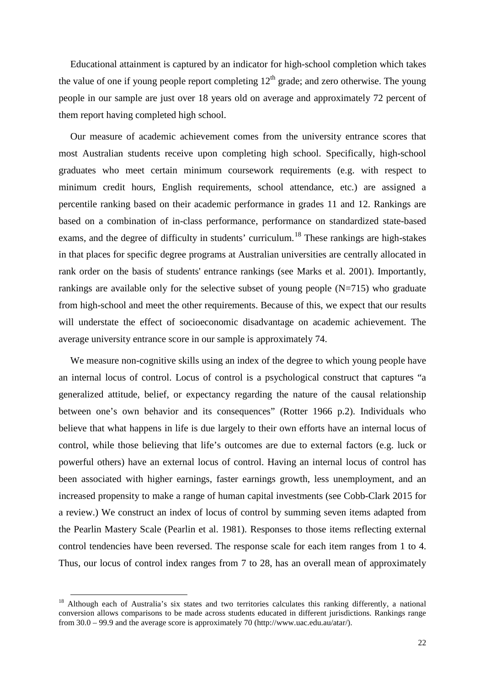Educational attainment is captured by an indicator for high-school completion which takes the value of one if young people report completing  $12<sup>th</sup>$  grade; and zero otherwise. The young people in our sample are just over 18 years old on average and approximately 72 percent of them report having completed high school.

Our measure of academic achievement comes from the university entrance scores that most Australian students receive upon completing high school. Specifically, high-school graduates who meet certain minimum coursework requirements (e.g. with respect to minimum credit hours, English requirements, school attendance, etc.) are assigned a percentile ranking based on their academic performance in grades 11 and 12. Rankings are based on a combination of in-class performance, performance on standardized state-based exams, and the degree of difficulty in students' curriculum.<sup>[18](#page-24-0)</sup> These rankings are high-stakes in that places for specific degree programs at Australian universities are centrally allocated in rank order on the basis of students' entrance rankings (see Marks et al. 2001). Importantly, rankings are available only for the selective subset of young people (N=715) who graduate from high-school and meet the other requirements. Because of this, we expect that our results will understate the effect of socioeconomic disadvantage on academic achievement. The average university entrance score in our sample is approximately 74.

We measure non-cognitive skills using an index of the degree to which young people have an internal locus of control. Locus of control is a psychological construct that captures "a generalized attitude, belief, or expectancy regarding the nature of the causal relationship between one's own behavior and its consequences" (Rotter 1966 p.2). Individuals who believe that what happens in life is due largely to their own efforts have an internal locus of control, while those believing that life's outcomes are due to external factors (e.g. luck or powerful others) have an external locus of control. Having an internal locus of control has been associated with higher earnings, faster earnings growth, less unemployment, and an increased propensity to make a range of human capital investments (see Cobb-Clark 2015 for a review.) We construct an index of locus of control by summing seven items adapted from the Pearlin Mastery Scale (Pearlin et al. 1981). Responses to those items reflecting external control tendencies have been reversed. The response scale for each item ranges from 1 to 4. Thus, our locus of control index ranges from 7 to 28, has an overall mean of approximately

 $\overline{a}$ 

<span id="page-24-0"></span><sup>&</sup>lt;sup>18</sup> Although each of Australia's six states and two territories calculates this ranking differently, a national conversion allows comparisons to be made across students educated in different jurisdictions. Rankings range from 30.0 – 99.9 and the average score is approximately 70 (http://www.uac.edu.au/atar/).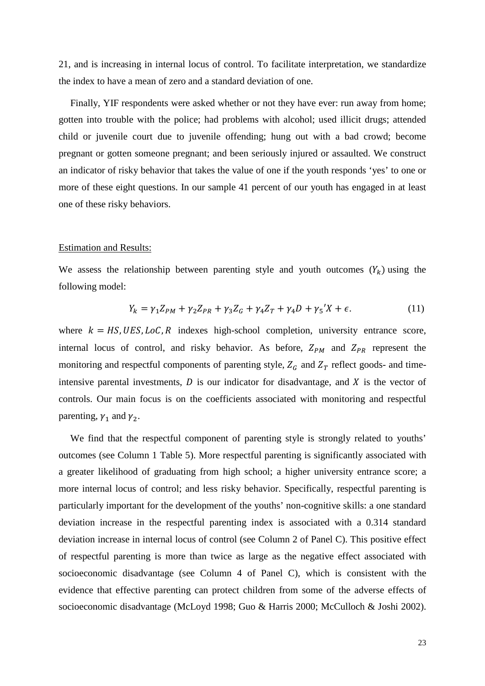21, and is increasing in internal locus of control. To facilitate interpretation, we standardize the index to have a mean of zero and a standard deviation of one.

Finally, YIF respondents were asked whether or not they have ever: run away from home; gotten into trouble with the police; had problems with alcohol; used illicit drugs; attended child or juvenile court due to juvenile offending; hung out with a bad crowd; become pregnant or gotten someone pregnant; and been seriously injured or assaulted. We construct an indicator of risky behavior that takes the value of one if the youth responds 'yes' to one or more of these eight questions. In our sample 41 percent of our youth has engaged in at least one of these risky behaviors.

#### Estimation and Results:

We assess the relationship between parenting style and youth outcomes  $(Y_k)$  using the following model:

$$
Y_k = \gamma_1 Z_{PM} + \gamma_2 Z_{PR} + \gamma_3 Z_G + \gamma_4 Z_T + \gamma_4 D + \gamma_5 X + \epsilon. \tag{11}
$$

where  $k = HS, UES, LoC, R$  indexes high-school completion, university entrance score, internal locus of control, and risky behavior. As before,  $Z_{PM}$  and  $Z_{PR}$  represent the monitoring and respectful components of parenting style,  $Z_G$  and  $Z_T$  reflect goods- and timeintensive parental investments,  $D$  is our indicator for disadvantage, and  $X$  is the vector of controls. Our main focus is on the coefficients associated with monitoring and respectful parenting,  $\gamma_1$  and  $\gamma_2$ .

We find that the respectful component of parenting style is strongly related to youths' outcomes (see Column 1 Table 5). More respectful parenting is significantly associated with a greater likelihood of graduating from high school; a higher university entrance score; a more internal locus of control; and less risky behavior. Specifically, respectful parenting is particularly important for the development of the youths' non-cognitive skills: a one standard deviation increase in the respectful parenting index is associated with a 0.314 standard deviation increase in internal locus of control (see Column 2 of Panel C). This positive effect of respectful parenting is more than twice as large as the negative effect associated with socioeconomic disadvantage (see Column 4 of Panel C), which is consistent with the evidence that effective parenting can protect children from some of the adverse effects of socioeconomic disadvantage (McLoyd 1998; Guo & Harris 2000; McCulloch & Joshi 2002).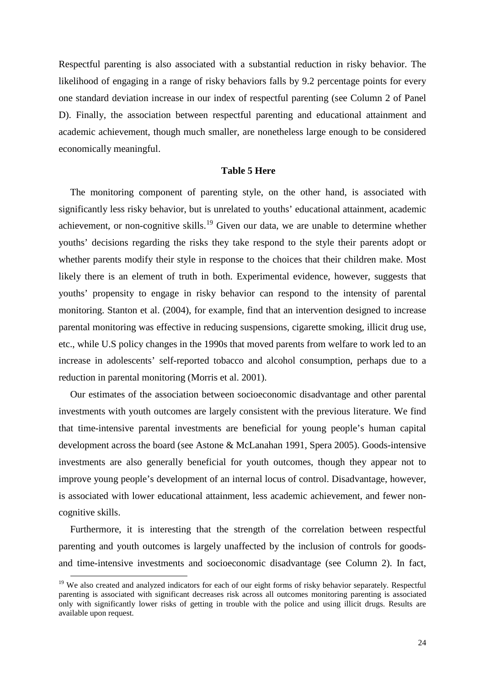Respectful parenting is also associated with a substantial reduction in risky behavior. The likelihood of engaging in a range of risky behaviors falls by 9.2 percentage points for every one standard deviation increase in our index of respectful parenting (see Column 2 of Panel D). Finally, the association between respectful parenting and educational attainment and academic achievement, though much smaller, are nonetheless large enough to be considered economically meaningful.

#### **Table 5 Here**

The monitoring component of parenting style, on the other hand, is associated with significantly less risky behavior, but is unrelated to youths' educational attainment, academic achievement, or non-cognitive skills.<sup>[19](#page-26-0)</sup> Given our data, we are unable to determine whether youths' decisions regarding the risks they take respond to the style their parents adopt or whether parents modify their style in response to the choices that their children make. Most likely there is an element of truth in both. Experimental evidence, however, suggests that youths' propensity to engage in risky behavior can respond to the intensity of parental monitoring. Stanton et al. (2004), for example, find that an intervention designed to increase parental monitoring was effective in reducing suspensions, cigarette smoking, illicit drug use, etc., while U.S policy changes in the 1990s that moved parents from welfare to work led to an increase in adolescents' self-reported tobacco and alcohol consumption, perhaps due to a reduction in parental monitoring (Morris et al. 2001).

Our estimates of the association between socioeconomic disadvantage and other parental investments with youth outcomes are largely consistent with the previous literature. We find that time-intensive parental investments are beneficial for young people's human capital development across the board (see Astone & McLanahan 1991, Spera 2005). Goods-intensive investments are also generally beneficial for youth outcomes, though they appear not to improve young people's development of an internal locus of control. Disadvantage, however, is associated with lower educational attainment, less academic achievement, and fewer noncognitive skills.

Furthermore, it is interesting that the strength of the correlation between respectful parenting and youth outcomes is largely unaffected by the inclusion of controls for goodsand time-intensive investments and socioeconomic disadvantage (see Column 2). In fact,

 $\overline{a}$ 

<span id="page-26-0"></span><sup>&</sup>lt;sup>19</sup> We also created and analyzed indicators for each of our eight forms of risky behavior separately. Respectful parenting is associated with significant decreases risk across all outcomes monitoring parenting is associated only with significantly lower risks of getting in trouble with the police and using illicit drugs. Results are available upon request.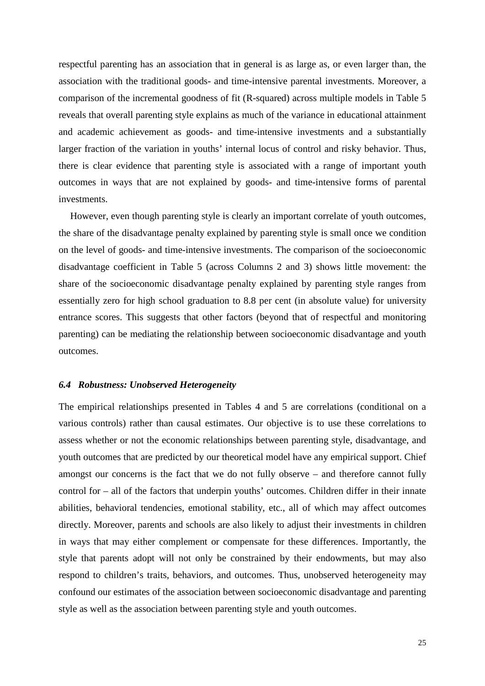respectful parenting has an association that in general is as large as, or even larger than, the association with the traditional goods- and time-intensive parental investments. Moreover, a comparison of the incremental goodness of fit (R-squared) across multiple models in Table 5 reveals that overall parenting style explains as much of the variance in educational attainment and academic achievement as goods- and time-intensive investments and a substantially larger fraction of the variation in youths' internal locus of control and risky behavior. Thus, there is clear evidence that parenting style is associated with a range of important youth outcomes in ways that are not explained by goods- and time-intensive forms of parental investments.

However, even though parenting style is clearly an important correlate of youth outcomes, the share of the disadvantage penalty explained by parenting style is small once we condition on the level of goods- and time-intensive investments. The comparison of the socioeconomic disadvantage coefficient in Table 5 (across Columns 2 and 3) shows little movement: the share of the socioeconomic disadvantage penalty explained by parenting style ranges from essentially zero for high school graduation to 8.8 per cent (in absolute value) for university entrance scores. This suggests that other factors (beyond that of respectful and monitoring parenting) can be mediating the relationship between socioeconomic disadvantage and youth outcomes.

#### *6.4 Robustness: Unobserved Heterogeneity*

The empirical relationships presented in Tables 4 and 5 are correlations (conditional on a various controls) rather than causal estimates. Our objective is to use these correlations to assess whether or not the economic relationships between parenting style, disadvantage, and youth outcomes that are predicted by our theoretical model have any empirical support. Chief amongst our concerns is the fact that we do not fully observe – and therefore cannot fully control for – all of the factors that underpin youths' outcomes. Children differ in their innate abilities, behavioral tendencies, emotional stability, etc., all of which may affect outcomes directly. Moreover, parents and schools are also likely to adjust their investments in children in ways that may either complement or compensate for these differences. Importantly, the style that parents adopt will not only be constrained by their endowments, but may also respond to children's traits, behaviors, and outcomes. Thus, unobserved heterogeneity may confound our estimates of the association between socioeconomic disadvantage and parenting style as well as the association between parenting style and youth outcomes.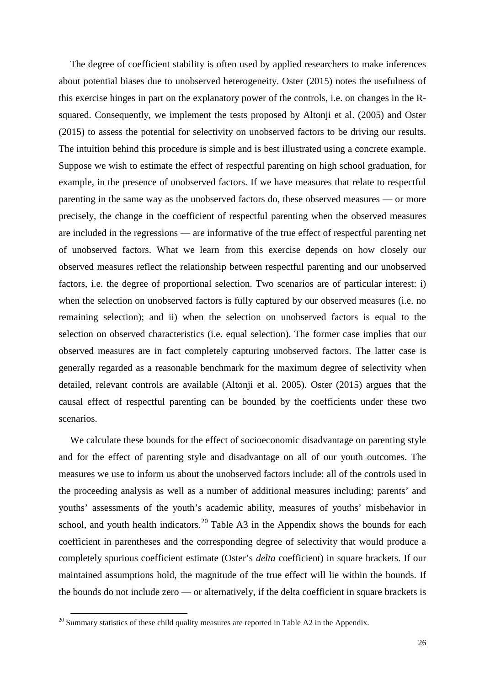The degree of coefficient stability is often used by applied researchers to make inferences about potential biases due to unobserved heterogeneity. Oster (2015) notes the usefulness of this exercise hinges in part on the explanatory power of the controls, i.e. on changes in the Rsquared. Consequently, we implement the tests proposed by Altonji et al. (2005) and Oster (2015) to assess the potential for selectivity on unobserved factors to be driving our results. The intuition behind this procedure is simple and is best illustrated using a concrete example. Suppose we wish to estimate the effect of respectful parenting on high school graduation, for example, in the presence of unobserved factors. If we have measures that relate to respectful parenting in the same way as the unobserved factors do, these observed measures — or more precisely, the change in the coefficient of respectful parenting when the observed measures are included in the regressions — are informative of the true effect of respectful parenting net of unobserved factors. What we learn from this exercise depends on how closely our observed measures reflect the relationship between respectful parenting and our unobserved factors, i.e. the degree of proportional selection. Two scenarios are of particular interest: i) when the selection on unobserved factors is fully captured by our observed measures (i.e. no remaining selection); and ii) when the selection on unobserved factors is equal to the selection on observed characteristics (i.e. equal selection). The former case implies that our observed measures are in fact completely capturing unobserved factors. The latter case is generally regarded as a reasonable benchmark for the maximum degree of selectivity when detailed, relevant controls are available (Altonji et al. 2005). Oster (2015) argues that the causal effect of respectful parenting can be bounded by the coefficients under these two scenarios.

We calculate these bounds for the effect of socioeconomic disadvantage on parenting style and for the effect of parenting style and disadvantage on all of our youth outcomes. The measures we use to inform us about the unobserved factors include: all of the controls used in the proceeding analysis as well as a number of additional measures including: parents' and youths' assessments of the youth's academic ability, measures of youths' misbehavior in school, and youth health indicators.<sup>[20](#page-28-0)</sup> Table A3 in the Appendix shows the bounds for each coefficient in parentheses and the corresponding degree of selectivity that would produce a completely spurious coefficient estimate (Oster's *delta* coefficient) in square brackets. If our maintained assumptions hold, the magnitude of the true effect will lie within the bounds. If the bounds do not include zero — or alternatively, if the delta coefficient in square brackets is

 $\overline{a}$ 

<span id="page-28-0"></span> $20$  Summary statistics of these child quality measures are reported in Table A2 in the Appendix.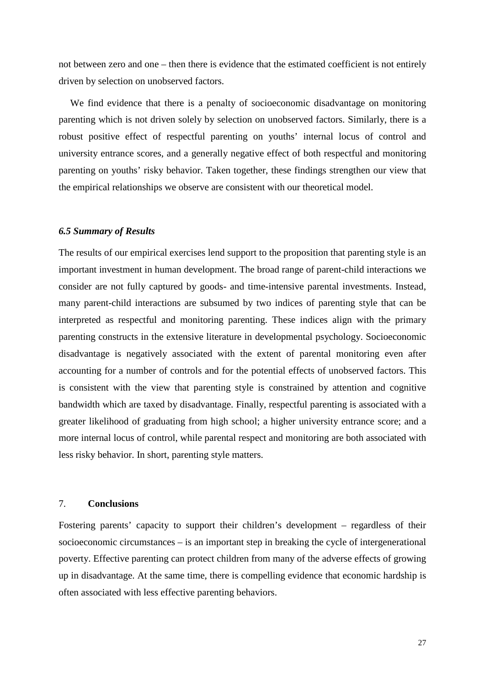not between zero and one – then there is evidence that the estimated coefficient is not entirely driven by selection on unobserved factors.

We find evidence that there is a penalty of socioeconomic disadvantage on monitoring parenting which is not driven solely by selection on unobserved factors. Similarly, there is a robust positive effect of respectful parenting on youths' internal locus of control and university entrance scores, and a generally negative effect of both respectful and monitoring parenting on youths' risky behavior. Taken together, these findings strengthen our view that the empirical relationships we observe are consistent with our theoretical model.

#### *6.5 Summary of Results*

The results of our empirical exercises lend support to the proposition that parenting style is an important investment in human development. The broad range of parent-child interactions we consider are not fully captured by goods- and time-intensive parental investments. Instead, many parent-child interactions are subsumed by two indices of parenting style that can be interpreted as respectful and monitoring parenting. These indices align with the primary parenting constructs in the extensive literature in developmental psychology. Socioeconomic disadvantage is negatively associated with the extent of parental monitoring even after accounting for a number of controls and for the potential effects of unobserved factors. This is consistent with the view that parenting style is constrained by attention and cognitive bandwidth which are taxed by disadvantage. Finally, respectful parenting is associated with a greater likelihood of graduating from high school; a higher university entrance score; and a more internal locus of control, while parental respect and monitoring are both associated with less risky behavior. In short, parenting style matters.

## 7. **Conclusions**

Fostering parents' capacity to support their children's development – regardless of their socioeconomic circumstances – is an important step in breaking the cycle of intergenerational poverty. Effective parenting can protect children from many of the adverse effects of growing up in disadvantage. At the same time, there is compelling evidence that economic hardship is often associated with less effective parenting behaviors.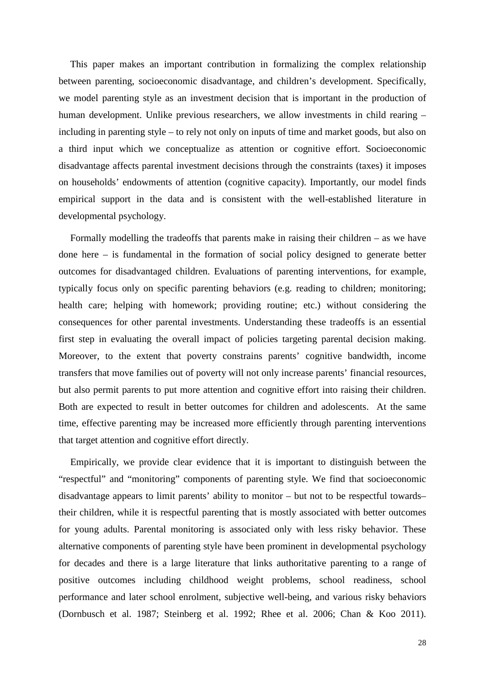This paper makes an important contribution in formalizing the complex relationship between parenting, socioeconomic disadvantage, and children's development. Specifically, we model parenting style as an investment decision that is important in the production of human development. Unlike previous researchers, we allow investments in child rearing – including in parenting style – to rely not only on inputs of time and market goods, but also on a third input which we conceptualize as attention or cognitive effort. Socioeconomic disadvantage affects parental investment decisions through the constraints (taxes) it imposes on households' endowments of attention (cognitive capacity). Importantly, our model finds empirical support in the data and is consistent with the well-established literature in developmental psychology.

Formally modelling the tradeoffs that parents make in raising their children – as we have done here – is fundamental in the formation of social policy designed to generate better outcomes for disadvantaged children. Evaluations of parenting interventions, for example, typically focus only on specific parenting behaviors (e.g. reading to children; monitoring; health care; helping with homework; providing routine; etc.) without considering the consequences for other parental investments. Understanding these tradeoffs is an essential first step in evaluating the overall impact of policies targeting parental decision making. Moreover, to the extent that poverty constrains parents' cognitive bandwidth, income transfers that move families out of poverty will not only increase parents' financial resources, but also permit parents to put more attention and cognitive effort into raising their children. Both are expected to result in better outcomes for children and adolescents. At the same time, effective parenting may be increased more efficiently through parenting interventions that target attention and cognitive effort directly.

Empirically, we provide clear evidence that it is important to distinguish between the "respectful" and "monitoring" components of parenting style. We find that socioeconomic disadvantage appears to limit parents' ability to monitor – but not to be respectful towards– their children, while it is respectful parenting that is mostly associated with better outcomes for young adults. Parental monitoring is associated only with less risky behavior. These alternative components of parenting style have been prominent in developmental psychology for decades and there is a large literature that links authoritative parenting to a range of positive outcomes including childhood weight problems, school readiness, school performance and later school enrolment, subjective well-being, and various risky behaviors (Dornbusch et al. 1987; Steinberg et al. 1992; Rhee et al. 2006; Chan & Koo 2011).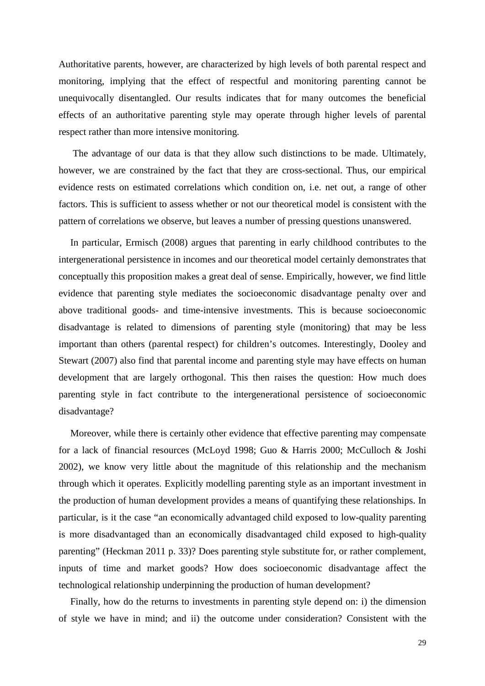Authoritative parents, however, are characterized by high levels of both parental respect and monitoring, implying that the effect of respectful and monitoring parenting cannot be unequivocally disentangled. Our results indicates that for many outcomes the beneficial effects of an authoritative parenting style may operate through higher levels of parental respect rather than more intensive monitoring.

The advantage of our data is that they allow such distinctions to be made. Ultimately, however, we are constrained by the fact that they are cross-sectional. Thus, our empirical evidence rests on estimated correlations which condition on, i.e. net out, a range of other factors. This is sufficient to assess whether or not our theoretical model is consistent with the pattern of correlations we observe, but leaves a number of pressing questions unanswered.

In particular, Ermisch (2008) argues that parenting in early childhood contributes to the intergenerational persistence in incomes and our theoretical model certainly demonstrates that conceptually this proposition makes a great deal of sense. Empirically, however, we find little evidence that parenting style mediates the socioeconomic disadvantage penalty over and above traditional goods- and time-intensive investments. This is because socioeconomic disadvantage is related to dimensions of parenting style (monitoring) that may be less important than others (parental respect) for children's outcomes. Interestingly, Dooley and Stewart (2007) also find that parental income and parenting style may have effects on human development that are largely orthogonal. This then raises the question: How much does parenting style in fact contribute to the intergenerational persistence of socioeconomic disadvantage?

Moreover, while there is certainly other evidence that effective parenting may compensate for a lack of financial resources (McLoyd 1998; Guo & Harris 2000; McCulloch & Joshi 2002), we know very little about the magnitude of this relationship and the mechanism through which it operates. Explicitly modelling parenting style as an important investment in the production of human development provides a means of quantifying these relationships. In particular, is it the case "an economically advantaged child exposed to low-quality parenting is more disadvantaged than an economically disadvantaged child exposed to high-quality parenting" (Heckman 2011 p. 33)? Does parenting style substitute for, or rather complement, inputs of time and market goods? How does socioeconomic disadvantage affect the technological relationship underpinning the production of human development?

Finally, how do the returns to investments in parenting style depend on: i) the dimension of style we have in mind; and ii) the outcome under consideration? Consistent with the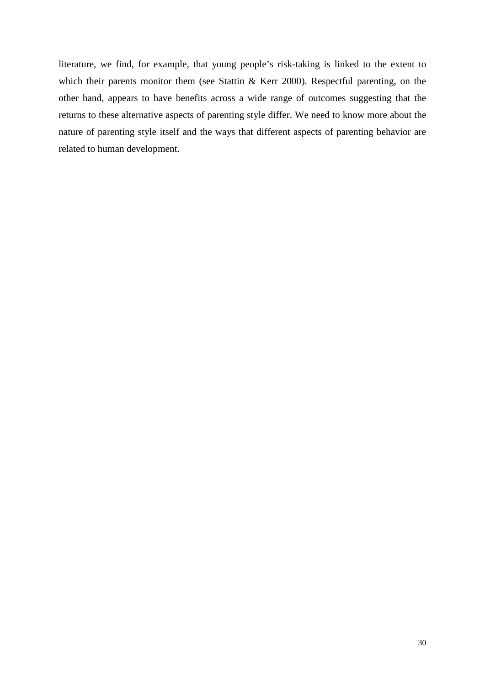literature, we find, for example, that young people's risk-taking is linked to the extent to which their parents monitor them (see Stattin & Kerr 2000). Respectful parenting, on the other hand, appears to have benefits across a wide range of outcomes suggesting that the returns to these alternative aspects of parenting style differ. We need to know more about the nature of parenting style itself and the ways that different aspects of parenting behavior are related to human development.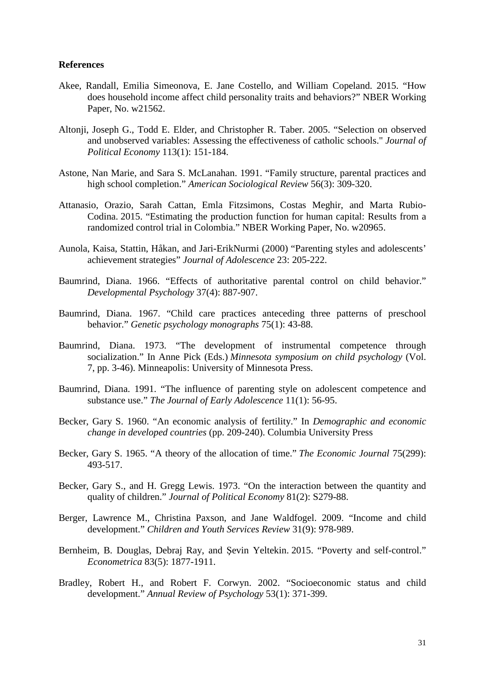#### **References**

- Akee, Randall, Emilia Simeonova, E. Jane Costello, and William Copeland. 2015. "How does household income affect child personality traits and behaviors?" NBER Working Paper, No. w21562.
- Altonji, Joseph G., Todd E. Elder, and Christopher R. Taber. 2005. "Selection on observed and unobserved variables: Assessing the effectiveness of catholic schools." *Journal of Political Economy* 113(1): 151-184.
- Astone, Nan Marie, and Sara S. McLanahan. 1991. "Family structure, parental practices and high school completion." *American Sociological Review* 56(3): 309-320.
- Attanasio, Orazio, Sarah Cattan, Emla Fitzsimons, Costas Meghir, and Marta Rubio-Codina. 2015. "Estimating the production function for human capital: Results from a randomized control trial in Colombia." NBER Working Paper, No. w20965.
- Aunola, Kaisa, Stattin, Håkan, and Jari-ErikNurmi (2000) "Parenting styles and adolescents' achievement strategies" *Journal of Adolescence* 23: 205-222.
- Baumrind, Diana. 1966. "Effects of authoritative parental control on child behavior." *Developmental Psychology* 37(4): 887-907.
- Baumrind, Diana. 1967. "Child care practices anteceding three patterns of preschool behavior." *Genetic psychology monographs* 75(1): 43-88.
- Baumrind, Diana. 1973. "The development of instrumental competence through socialization." In Anne Pick (Eds.) *Minnesota symposium on child psychology* (Vol. 7, pp. 3-46). Minneapolis: University of Minnesota Press.
- Baumrind, Diana. 1991. "The influence of parenting style on adolescent competence and substance use." *The Journal of Early Adolescence* 11(1): 56-95.
- Becker, Gary S. 1960. "An economic analysis of fertility." In *Demographic and economic change in developed countries* (pp. 209-240). Columbia University Press
- Becker, Gary S. 1965. "A theory of the allocation of time." *The Economic Journal* 75(299): 493-517.
- Becker, Gary S., and H. Gregg Lewis. 1973. "On the interaction between the quantity and quality of children." *Journal of Political Economy* 81(2): S279-88.
- Berger, Lawrence M., Christina Paxson, and Jane Waldfogel. 2009. "Income and child development." *Children and Youth Services Review* 31(9): 978-989.
- Bernheim, B. Douglas, Debraj Ray, and Şevin Yeltekin. 2015. "Poverty and self-control." *Econometrica* 83(5): 1877-1911.
- Bradley, Robert H., and Robert F. Corwyn. 2002. "Socioeconomic status and child development." *Annual Review of Psychology* 53(1): 371-399.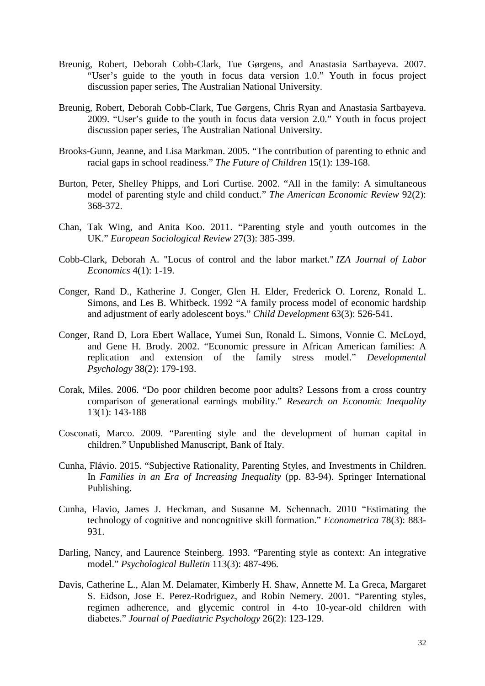- Breunig, Robert, Deborah Cobb-Clark, Tue Gørgens, and Anastasia Sartbayeva. 2007. "User's guide to the youth in focus data version 1.0." Youth in focus project discussion paper series, The Australian National University.
- Breunig, Robert, Deborah Cobb-Clark, Tue Gørgens, Chris Ryan and Anastasia Sartbayeva. 2009. "User's guide to the youth in focus data version 2.0." Youth in focus project discussion paper series, The Australian National University.
- Brooks-Gunn, Jeanne, and Lisa Markman. 2005. "The contribution of parenting to ethnic and racial gaps in school readiness." *The Future of Children* 15(1): 139-168.
- Burton, Peter, Shelley Phipps, and Lori Curtise. 2002. "All in the family: A simultaneous model of parenting style and child conduct." *The American Economic Review* 92(2): 368-372.
- Chan, Tak Wing, and Anita Koo. 2011. "Parenting style and youth outcomes in the UK." *European Sociological Review* 27(3): 385-399.
- Cobb-Clark, Deborah A. "Locus of control and the labor market." *IZA Journal of Labor Economics* 4(1): 1-19.
- Conger, Rand D., Katherine J. Conger, Glen H. Elder, Frederick O. Lorenz, Ronald L. Simons, and Les B. Whitbeck. 1992 "A family process model of economic hardship and adjustment of early adolescent boys." *Child Development* 63(3): 526-541.
- Conger, Rand D, Lora Ebert Wallace, Yumei Sun, Ronald L. Simons, Vonnie C. McLoyd, and Gene H. Brody. 2002. "Economic pressure in African American families: A replication and extension of the family stress model." *Developmental Psychology* 38(2): 179-193.
- Corak, Miles. 2006. "Do poor children become poor adults? Lessons from a cross country comparison of generational earnings mobility." *Research on Economic Inequality*  13(1): 143-188
- Cosconati, Marco. 2009. "Parenting style and the development of human capital in children." Unpublished Manuscript, Bank of Italy.
- Cunha, Flávio. 2015. "Subjective Rationality, Parenting Styles, and Investments in Children. In *Families in an Era of Increasing Inequality* (pp. 83-94). Springer International Publishing.
- Cunha, Flavio, James J. Heckman, and Susanne M. Schennach. 2010 "Estimating the technology of cognitive and noncognitive skill formation." *Econometrica* 78(3): 883- 931.
- Darling, Nancy, and Laurence Steinberg. 1993. "Parenting style as context: An integrative model." *Psychological Bulletin* 113(3): 487-496.
- Davis, Catherine L., Alan M. Delamater, Kimberly H. Shaw, Annette M. La Greca, Margaret S. Eidson, Jose E. Perez-Rodriguez, and Robin Nemery. 2001. "Parenting styles, regimen adherence, and glycemic control in 4-to 10-year-old children with diabetes." *Journal of Paediatric Psychology* 26(2): 123-129.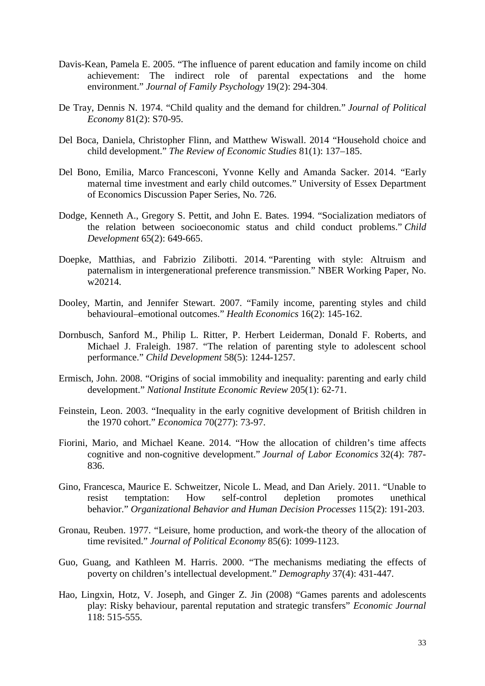- Davis-Kean, Pamela E. 2005. "The influence of parent education and family income on child achievement: The indirect role of parental expectations and the home environment." *Journal of Family Psychology* 19(2): 294-304.
- De Tray, Dennis N. 1974. "Child quality and the demand for children." *Journal of Political Economy* 81(2): S70-95.
- Del Boca, Daniela, Christopher Flinn, and Matthew Wiswall. 2014 "Household choice and child development." *The Review of Economic Studies* 81(1): 137–185.
- Del Bono, Emilia, Marco Francesconi, Yvonne Kelly and Amanda Sacker. 2014. "Early maternal time investment and early child outcomes." University of Essex Department of Economics Discussion Paper Series, No. 726.
- Dodge, Kenneth A., Gregory S. Pettit, and John E. Bates. 1994. "Socialization mediators of the relation between socioeconomic status and child conduct problems." *Child Development* 65(2): 649-665.
- Doepke, Matthias, and Fabrizio Zilibotti. 2014. "Parenting with style: Altruism and paternalism in intergenerational preference transmission." NBER Working Paper, No. w20214.
- Dooley, Martin, and Jennifer Stewart. 2007. "Family income, parenting styles and child behavioural–emotional outcomes." *Health Economics* 16(2): 145-162.
- Dornbusch, Sanford M., Philip L. Ritter, P. Herbert Leiderman, Donald F. Roberts, and Michael J. Fraleigh. 1987. "The relation of parenting style to adolescent school performance." *Child Development* 58(5): 1244-1257.
- Ermisch, John. 2008. "Origins of social immobility and inequality: parenting and early child development." *National Institute Economic Review* 205(1): 62-71.
- Feinstein, Leon. 2003. "Inequality in the early cognitive development of British children in the 1970 cohort." *Economica* 70(277): 73-97.
- Fiorini, Mario, and Michael Keane. 2014. "How the allocation of children's time affects cognitive and non-cognitive development." *Journal of Labor Economics* 32(4): 787- 836.
- Gino, Francesca, Maurice E. Schweitzer, Nicole L. Mead, and Dan Ariely. 2011. "Unable to resist temptation: How self-control depletion promotes unethical behavior." *Organizational Behavior and Human Decision Processes* 115(2): 191-203.
- Gronau, Reuben. 1977. "Leisure, home production, and work-the theory of the allocation of time revisited." *Journal of Political Economy* 85(6): 1099-1123.
- Guo, Guang, and Kathleen M. Harris. 2000. "The mechanisms mediating the effects of poverty on children's intellectual development." *Demography* 37(4): 431-447.
- Hao, Lingxin, Hotz, V. Joseph, and Ginger Z. Jin (2008) "Games parents and adolescents play: Risky behaviour, parental reputation and strategic transfers" *Economic Journal* 118: 515-555.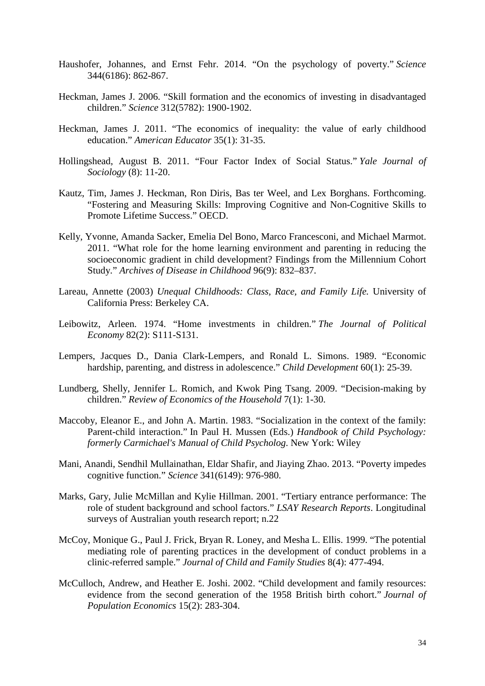- Haushofer, Johannes, and Ernst Fehr. 2014. "On the psychology of poverty." *Science* 344(6186): 862-867.
- Heckman, James J. 2006. "Skill formation and the economics of investing in disadvantaged children." *Science* 312(5782): 1900-1902.
- Heckman, James J. 2011. "The economics of inequality: the value of early childhood education." *American Educator* 35(1): 31-35.
- Hollingshead, August B. 2011. "Four Factor Index of Social Status." *Yale Journal of Sociology* (8): 11-20.
- Kautz, Tim, James J. Heckman, Ron Diris, Bas ter Weel, and Lex Borghans. Forthcoming. "Fostering and Measuring Skills: Improving Cognitive and Non-Cognitive Skills to Promote Lifetime Success." OECD.
- Kelly, Yvonne, Amanda Sacker, Emelia Del Bono, Marco Francesconi, and Michael Marmot. 2011. "What role for the home learning environment and parenting in reducing the socioeconomic gradient in child development? Findings from the Millennium Cohort Study." *Archives of Disease in Childhood* 96(9): 832–837.
- Lareau, Annette (2003) *Unequal Childhoods: Class, Race, and Family Life.* University of California Press: Berkeley CA.
- Leibowitz, Arleen. 1974. "Home investments in children." *The Journal of Political Economy* 82(2): S111-S131.
- Lempers, Jacques D., Dania Clark-Lempers, and Ronald L. Simons. 1989. "Economic hardship, parenting, and distress in adolescence." *Child Development* 60(1): 25-39.
- Lundberg, Shelly, Jennifer L. Romich, and Kwok Ping Tsang. 2009. "Decision-making by children." *Review of Economics of the Household* 7(1): 1-30.
- Maccoby, Eleanor E., and John A. Martin. 1983. "Socialization in the context of the family: Parent-child interaction." In Paul H. Mussen (Eds.) *Handbook of Child Psychology: formerly Carmichael's Manual of Child Psycholog*. New York: Wiley
- Mani, Anandi, Sendhil Mullainathan, Eldar Shafir, and Jiaying Zhao. 2013. "Poverty impedes cognitive function." *Science* 341(6149): 976-980.
- Marks, Gary, Julie McMillan and Kylie Hillman. 2001. "Tertiary entrance performance: The role of student background and school factors." *LSAY Research Reports*. Longitudinal surveys of Australian youth research report; n.22
- McCoy, Monique G., Paul J. Frick, Bryan R. Loney, and Mesha L. Ellis. 1999. "The potential mediating role of parenting practices in the development of conduct problems in a clinic-referred sample." *Journal of Child and Family Studies* 8(4): 477-494.
- McCulloch, Andrew, and Heather E. Joshi. 2002. "Child development and family resources: evidence from the second generation of the 1958 British birth cohort." *Journal of Population Economics* 15(2): 283-304.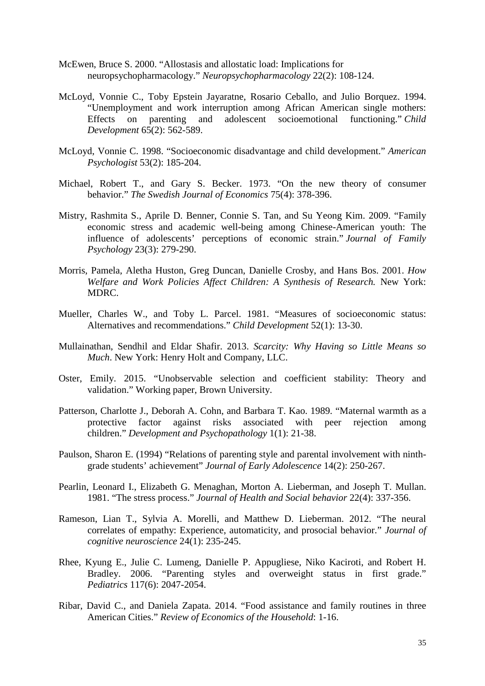- McEwen, Bruce S. 2000. "Allostasis and allostatic load: Implications for neuropsychopharmacology." *Neuropsychopharmacology* 22(2): 108-124.
- McLoyd, Vonnie C., Toby Epstein Jayaratne, Rosario Ceballo, and Julio Borquez. 1994. "Unemployment and work interruption among African American single mothers: Effects on parenting and adolescent socioemotional functioning." *Child Development* 65(2): 562-589.
- McLoyd, Vonnie C. 1998. "Socioeconomic disadvantage and child development." *American Psychologist* 53(2): 185-204.
- Michael, Robert T., and Gary S. Becker. 1973. "On the new theory of consumer behavior." *The Swedish Journal of Economics* 75(4): 378-396.
- Mistry, Rashmita S., Aprile D. Benner, Connie S. Tan, and Su Yeong Kim. 2009. "Family economic stress and academic well-being among Chinese-American youth: The influence of adolescents' perceptions of economic strain." *Journal of Family Psychology* 23(3): 279-290.
- Morris, Pamela, Aletha Huston, Greg Duncan, Danielle Crosby, and Hans Bos. 2001. *How Welfare and Work Policies Affect Children: A Synthesis of Research.* New York: MDRC.
- Mueller, Charles W., and Toby L. Parcel. 1981. "Measures of socioeconomic status: Alternatives and recommendations." *Child Development* 52(1): 13-30.
- Mullainathan, Sendhil and Eldar Shafir. 2013. *Scarcity: Why Having so Little Means so Much*. New York: Henry Holt and Company, LLC.
- Oster, Emily. 2015. "Unobservable selection and coefficient stability: Theory and validation." Working paper, Brown University.
- Patterson, Charlotte J., Deborah A. Cohn, and Barbara T. Kao. 1989. "Maternal warmth as a protective factor against risks associated with peer rejection among children." *Development and Psychopathology* 1(1): 21-38.
- Paulson, Sharon E. (1994) "Relations of parenting style and parental involvement with ninthgrade students' achievement" *Journal of Early Adolescence* 14(2): 250-267.
- Pearlin, Leonard I., Elizabeth G. Menaghan, Morton A. Lieberman, and Joseph T. Mullan. 1981. "The stress process." *Journal of Health and Social behavior* 22(4): 337-356.
- Rameson, Lian T., Sylvia A. Morelli, and Matthew D. Lieberman. 2012. "The neural correlates of empathy: Experience, automaticity, and prosocial behavior." *Journal of cognitive neuroscience* 24(1): 235-245.
- Rhee, Kyung E., Julie C. Lumeng, Danielle P. Appugliese, Niko Kaciroti, and Robert H. Bradley. 2006. "Parenting styles and overweight status in first grade." *Pediatrics* 117(6): 2047-2054.
- Ribar, David C., and Daniela Zapata. 2014. "Food assistance and family routines in three American Cities." *Review of Economics of the Household*: 1-16.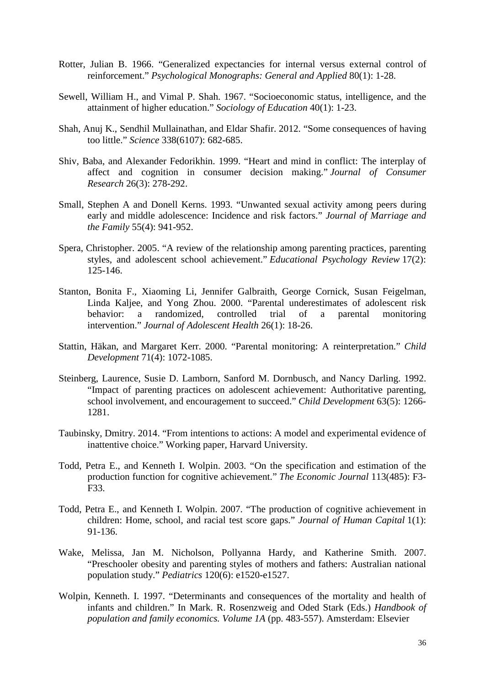- Rotter, Julian B. 1966. "Generalized expectancies for internal versus external control of reinforcement." *Psychological Monographs: General and Applied* 80(1): 1-28.
- Sewell, William H., and Vimal P. Shah. 1967. "Socioeconomic status, intelligence, and the attainment of higher education." *Sociology of Education* 40(1): 1-23.
- Shah, Anuj K., Sendhil Mullainathan, and Eldar Shafir. 2012. "Some consequences of having too little." *Science* 338(6107): 682-685.
- Shiv, Baba, and Alexander Fedorikhin. 1999. "Heart and mind in conflict: The interplay of affect and cognition in consumer decision making." *Journal of Consumer Research* 26(3): 278-292.
- Small, Stephen A and Donell Kerns. 1993. "Unwanted sexual activity among peers during early and middle adolescence: Incidence and risk factors." *Journal of Marriage and the Family* 55(4): 941-952.
- Spera, Christopher. 2005. "A review of the relationship among parenting practices, parenting styles, and adolescent school achievement." *Educational Psychology Review* 17(2): 125-146.
- Stanton, Bonita F., Xiaoming Li, Jennifer Galbraith, George Cornick, Susan Feigelman, Linda Kaljee, and Yong Zhou. 2000. "Parental underestimates of adolescent risk behavior: a randomized, controlled trial of a parental monitoring intervention." *Journal of Adolescent Health* 26(1): 18-26.
- Stattin, Häkan, and Margaret Kerr. 2000. "Parental monitoring: A reinterpretation." *Child Development* 71(4): 1072-1085.
- Steinberg, Laurence, Susie D. Lamborn, Sanford M. Dornbusch, and Nancy Darling. 1992. "Impact of parenting practices on adolescent achievement: Authoritative parenting, school involvement, and encouragement to succeed." *Child Development* 63(5): 1266- 1281.
- Taubinsky, Dmitry. 2014. "From intentions to actions: A model and experimental evidence of inattentive choice." Working paper, Harvard University.
- Todd, Petra E., and Kenneth I. Wolpin. 2003. "On the specification and estimation of the production function for cognitive achievement." *The Economic Journal* 113(485): F3- F33.
- Todd, Petra E., and Kenneth I. Wolpin. 2007. "The production of cognitive achievement in children: Home, school, and racial test score gaps." *Journal of Human Capital* 1(1): 91-136.
- Wake, Melissa, Jan M. Nicholson, Pollyanna Hardy, and Katherine Smith. 2007. "Preschooler obesity and parenting styles of mothers and fathers: Australian national population study." *Pediatrics* 120(6): e1520-e1527.
- Wolpin, Kenneth. I. 1997. "Determinants and consequences of the mortality and health of infants and children." In Mark. R. Rosenzweig and Oded Stark (Eds.) *Handbook of population and family economics. Volume 1A* (pp. 483-557). Amsterdam: Elsevier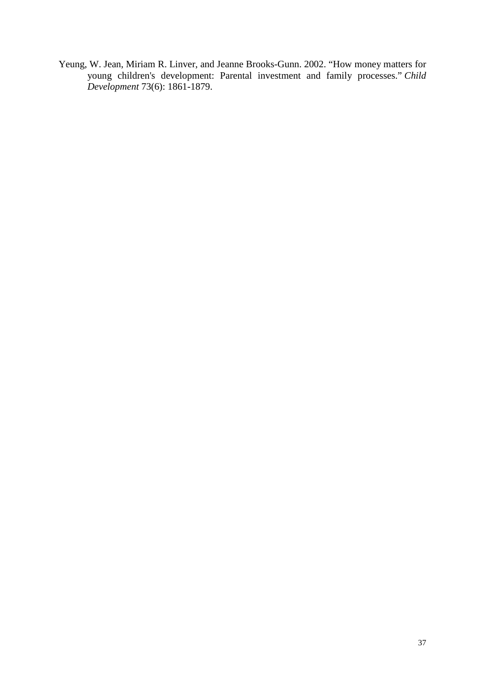Yeung, W. Jean, Miriam R. Linver, and Jeanne Brooks-Gunn. 2002. "How money matters for young children's development: Parental investment and family processes." *Child Development* 73(6): 1861-1879.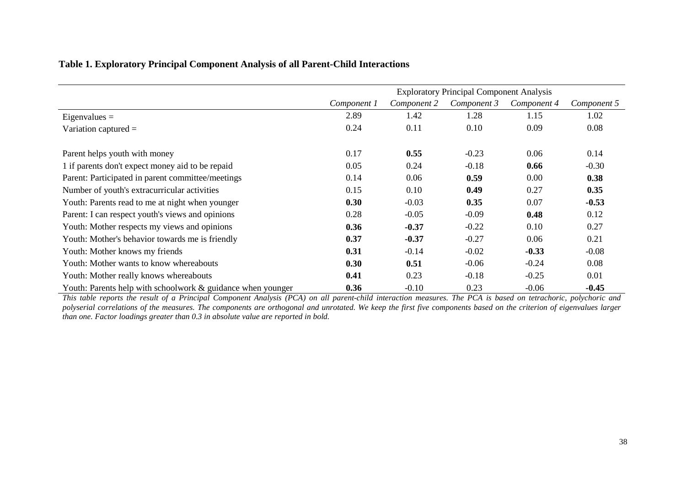|                                                             | <b>Exploratory Principal Component Analysis</b> |             |             |             |             |
|-------------------------------------------------------------|-------------------------------------------------|-------------|-------------|-------------|-------------|
|                                                             | Component 1                                     | Component 2 | Component 3 | Component 4 | Component 5 |
| Eigenvalues $=$                                             | 2.89                                            | 1.42        | 1.28        | 1.15        | 1.02        |
| Variation captured $=$                                      | 0.24                                            | 0.11        | 0.10        | 0.09        | 0.08        |
| Parent helps youth with money                               | 0.17                                            | 0.55        | $-0.23$     | 0.06        | 0.14        |
|                                                             |                                                 |             |             |             |             |
| 1 if parents don't expect money aid to be repaid            | 0.05                                            | 0.24        | $-0.18$     | 0.66        | $-0.30$     |
| Parent: Participated in parent committee/meetings           | 0.14                                            | 0.06        | 0.59        | 0.00        | 0.38        |
| Number of youth's extracurricular activities                | 0.15                                            | 0.10        | 0.49        | 0.27        | 0.35        |
| Youth: Parents read to me at night when younger             | 0.30                                            | $-0.03$     | 0.35        | 0.07        | $-0.53$     |
| Parent: I can respect youth's views and opinions            | 0.28                                            | $-0.05$     | $-0.09$     | 0.48        | 0.12        |
| Youth: Mother respects my views and opinions                | 0.36                                            | $-0.37$     | $-0.22$     | 0.10        | 0.27        |
| Youth: Mother's behavior towards me is friendly             | 0.37                                            | $-0.37$     | $-0.27$     | 0.06        | 0.21        |
| Youth: Mother knows my friends                              | 0.31                                            | $-0.14$     | $-0.02$     | $-0.33$     | $-0.08$     |
| Youth: Mother wants to know whereabouts                     | 0.30                                            | 0.51        | $-0.06$     | $-0.24$     | 0.08        |
| Youth: Mother really knows whereabouts                      | 0.41                                            | 0.23        | $-0.18$     | $-0.25$     | 0.01        |
| Youth: Parents help with schoolwork & guidance when younger | 0.36                                            | $-0.10$     | 0.23        | $-0.06$     | $-0.45$     |

*This table reports the result of a Principal Component Analysis (PCA) on all parent-child interaction measures. The PCA is based on tetrachoric, polychoric and polyserial correlations of the measures. The components are orthogonal and unrotated. We keep the first five components based on the criterion of eigenvalues larger than one. Factor loadings greater than 0.3 in absolute value are reported in bold.*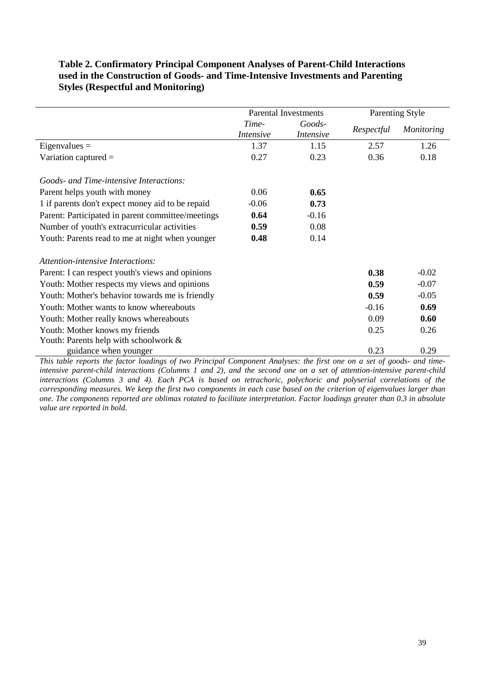# **Table 2. Confirmatory Principal Component Analyses of Parent-Child Interactions used in the Construction of Goods- and Time-Intensive Investments and Parenting Styles (Respectful and Monitoring)**

|                                                   | <b>Parental Investments</b> |                     |            | <b>Parenting Style</b> |
|---------------------------------------------------|-----------------------------|---------------------|------------|------------------------|
|                                                   | Time-<br>Intensive          | Goods-<br>Intensive | Respectful | Monitoring             |
|                                                   |                             |                     |            |                        |
| Eigenvalues $=$                                   | 1.37                        | 1.15                | 2.57       | 1.26                   |
| Variation captured $=$                            | 0.27                        | 0.23                | 0.36       | 0.18                   |
| Goods- and Time-intensive Interactions:           |                             |                     |            |                        |
| Parent helps youth with money                     | 0.06                        | 0.65                |            |                        |
| 1 if parents don't expect money aid to be repaid  | $-0.06$                     | 0.73                |            |                        |
| Parent: Participated in parent committee/meetings | 0.64                        | $-0.16$             |            |                        |
| Number of youth's extracurricular activities      | 0.59                        | 0.08                |            |                        |
| Youth: Parents read to me at night when younger   | 0.48                        | 0.14                |            |                        |
| Attention-intensive Interactions:                 |                             |                     |            |                        |
| Parent: I can respect youth's views and opinions  |                             |                     | 0.38       | $-0.02$                |
| Youth: Mother respects my views and opinions      |                             |                     | 0.59       | $-0.07$                |
| Youth: Mother's behavior towards me is friendly   |                             |                     | 0.59       | $-0.05$                |
| Youth: Mother wants to know whereabouts           |                             |                     | $-0.16$    | 0.69                   |
| Youth: Mother really knows whereabouts            |                             |                     | 0.09       | 0.60                   |
| Youth: Mother knows my friends                    |                             |                     | 0.25       | 0.26                   |
| Youth: Parents help with schoolwork &             |                             |                     |            |                        |
| guidance when younger                             |                             |                     | 0.23       | 0.29                   |

*This table reports the factor loadings of two Principal Component Analyses: the first one on a set of goods- and timeintensive parent-child interactions (Columns 1 and 2), and the second one on a set of attention-intensive parent-child interactions (Columns 3 and 4). Each PCA is based on tetrachoric, polychoric and polyserial correlations of the corresponding measures. We keep the first two components in each case based on the criterion of eigenvalues larger than one. The components reported are oblimax rotated to facilitate interpretation. Factor loadings greater than 0.3 in absolute value are reported in bold.*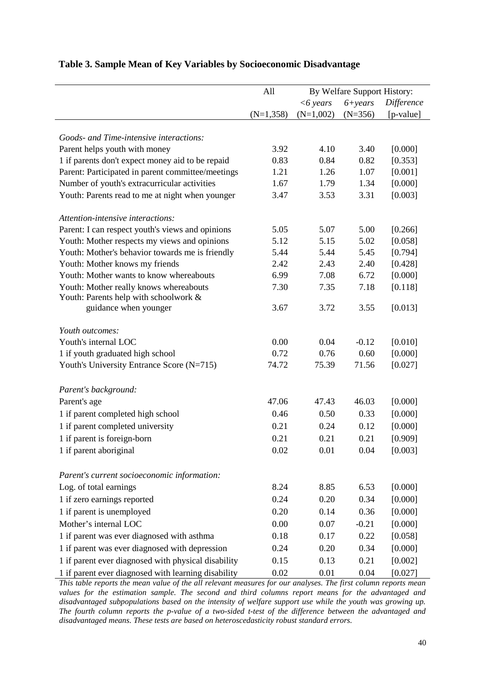|                                                     | All         | By Welfare Support History: |             |            |
|-----------------------------------------------------|-------------|-----------------------------|-------------|------------|
|                                                     |             | $<6$ years                  | $6 + years$ | Difference |
|                                                     | $(N=1,358)$ | $(N=1,002)$                 | $(N=356)$   | [p-value]  |
|                                                     |             |                             |             |            |
| Goods- and Time-intensive interactions:             |             |                             |             |            |
| Parent helps youth with money                       | 3.92        | 4.10                        | 3.40        | [0.000]    |
| 1 if parents don't expect money aid to be repaid    | 0.83        | 0.84                        | 0.82        | [0.353]    |
| Parent: Participated in parent committee/meetings   | 1.21        | 1.26                        | 1.07        | [0.001]    |
| Number of youth's extracurricular activities        | 1.67        | 1.79                        | 1.34        | [0.000]    |
| Youth: Parents read to me at night when younger     | 3.47        | 3.53                        | 3.31        | [0.003]    |
| Attention-intensive interactions:                   |             |                             |             |            |
| Parent: I can respect youth's views and opinions    | 5.05        | 5.07                        | 5.00        | [0.266]    |
| Youth: Mother respects my views and opinions        | 5.12        | 5.15                        | 5.02        | [0.058]    |
| Youth: Mother's behavior towards me is friendly     | 5.44        | 5.44                        | 5.45        | [0.794]    |
| Youth: Mother knows my friends                      | 2.42        | 2.43                        | 2.40        | [0.428]    |
| Youth: Mother wants to know whereabouts             | 6.99        | 7.08                        | 6.72        | [0.000]    |
| Youth: Mother really knows whereabouts              | 7.30        | 7.35                        | 7.18        | [0.118]    |
| Youth: Parents help with schoolwork &               |             |                             |             |            |
| guidance when younger                               | 3.67        | 3.72                        | 3.55        | [0.013]    |
| Youth outcomes:                                     |             |                             |             |            |
| Youth's internal LOC                                | 0.00        | 0.04                        | $-0.12$     | [0.010]    |
| 1 if youth graduated high school                    | 0.72        | 0.76                        | 0.60        | [0.000]    |
| Youth's University Entrance Score (N=715)           | 74.72       | 75.39                       | 71.56       | [0.027]    |
| Parent's background:                                |             |                             |             |            |
| Parent's age                                        | 47.06       | 47.43                       | 46.03       | [0.000]    |
| 1 if parent completed high school                   | 0.46        | 0.50                        | 0.33        | [0.000]    |
| 1 if parent completed university                    | 0.21        | 0.24                        | 0.12        | [0.000]    |
| 1 if parent is foreign-born                         | 0.21        | 0.21                        | 0.21        | [0.909]    |
| 1 if parent aboriginal                              | 0.02        | 0.01                        | 0.04        | [0.003]    |
|                                                     |             |                             |             |            |
| Parent's current socioeconomic information:         |             |                             |             |            |
| Log. of total earnings                              | 8.24        | 8.85                        | 6.53        | [0.000]    |
| 1 if zero earnings reported                         | 0.24        | 0.20                        | 0.34        | [0.000]    |
| 1 if parent is unemployed                           | 0.20        | 0.14                        | 0.36        | [0.000]    |
| Mother's internal LOC                               | 0.00        | 0.07                        | $-0.21$     | [0.000]    |
| 1 if parent was ever diagnosed with asthma          | 0.18        | 0.17                        | 0.22        | [0.058]    |
| 1 if parent was ever diagnosed with depression      | 0.24        | 0.20                        | 0.34        | [0.000]    |
| 1 if parent ever diagnosed with physical disability | 0.15        | 0.13                        | 0.21        | [0.002]    |
| 1 if parent ever diagnosed with learning disability | $0.02\,$    | 0.01                        | 0.04        | [0.027]    |

# **Table 3. Sample Mean of Key Variables by Socioeconomic Disadvantage**

*This table reports the mean value of the all relevant measures for our analyses. The first column reports mean values for the estimation sample. The second and third columns report means for the advantaged and disadvantaged subpopulations based on the intensity of welfare support use while the youth was growing up. The fourth column reports the p-value of a two-sided t-test of the difference between the advantaged and disadvantaged means. These tests are based on heteroscedasticity robust standard errors.*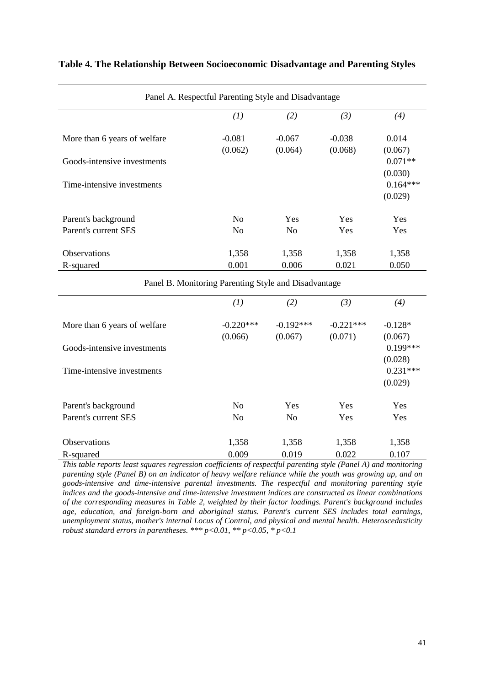| Panel A. Respectful Parenting Style and Disadvantage |                |            |            |            |  |
|------------------------------------------------------|----------------|------------|------------|------------|--|
|                                                      | (1)            | (2)        | (3)        | (4)        |  |
| More than 6 years of welfare                         | $-0.081$       | $-0.067$   | $-0.038$   | 0.014      |  |
|                                                      | (0.062)        | (0.064)    | (0.068)    | (0.067)    |  |
| Goods-intensive investments                          |                |            |            | $0.071**$  |  |
|                                                      |                |            |            | (0.030)    |  |
| Time-intensive investments                           |                |            |            | $0.164***$ |  |
|                                                      |                |            |            | (0.029)    |  |
| Parent's background                                  | N <sub>0</sub> | <b>Yes</b> | <b>Yes</b> | <b>Yes</b> |  |
| Parent's current SES                                 | No             | No.        | Yes        | Yes        |  |
| Observations                                         | 1,358          | 1,358      | 1,358      | 1,358      |  |
| R-squared                                            | 0.001          | 0.006      | 0.021      | 0.050      |  |

### **Table 4. The Relationship Between Socioeconomic Disadvantage and Parenting Styles**

| Panel B. Monitoring Parenting Style and Disadvantage |                        |                        |                        |                       |  |
|------------------------------------------------------|------------------------|------------------------|------------------------|-----------------------|--|
|                                                      | (1)                    | (2)                    | (3)                    | (4)                   |  |
| More than 6 years of welfare                         | $-0.220***$<br>(0.066) | $-0.192***$<br>(0.067) | $-0.221***$<br>(0.071) | $-0.128*$<br>(0.067)  |  |
| Goods-intensive investments                          |                        |                        |                        | $0.199***$<br>(0.028) |  |
| Time-intensive investments                           |                        |                        |                        | $0.231***$<br>(0.029) |  |
| Parent's background                                  | N <sub>o</sub>         | <b>Yes</b>             | <b>Yes</b>             | Yes                   |  |
| Parent's current SES                                 | N <sub>0</sub>         | N <sub>0</sub>         | <b>Yes</b>             | <b>Yes</b>            |  |

R-squared 0.009 0.019 0.022 0.107 *This table reports least squares regression coefficients of respectful parenting style (Panel A) and monitoring parenting style (Panel B) on an indicator of heavy welfare reliance while the youth was growing up, and on goods-intensive and time-intensive parental investments. The respectful and monitoring parenting style indices and the goods-intensive and time-intensive investment indices are constructed as linear combinations of the corresponding measures in Table 2, weighted by their factor loadings. Parent's background includes age, education, and foreign-born and aboriginal status. Parent's current SES includes total earnings, unemployment status, mother's internal Locus of Control, and physical and mental health. Heteroscedasticity robust standard errors in parentheses. \*\*\* p<0.01, \*\* p<0.05, \* p<0.1*

Observations 1,358 1,358 1,358 1,358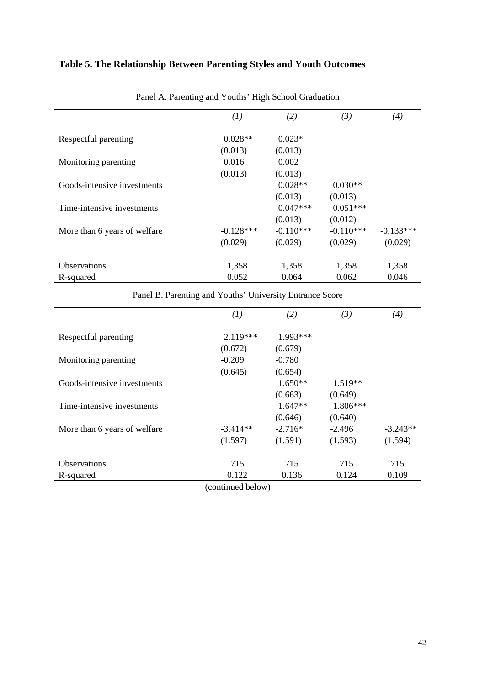| Panel A. Parenting and Youths' High School Graduation    |             |             |             |             |  |  |
|----------------------------------------------------------|-------------|-------------|-------------|-------------|--|--|
|                                                          | (1)         | (2)         | (3)         | (4)         |  |  |
| Respectful parenting                                     | $0.028**$   | $0.023*$    |             |             |  |  |
|                                                          | (0.013)     | (0.013)     |             |             |  |  |
| Monitoring parenting                                     | 0.016       | 0.002       |             |             |  |  |
|                                                          | (0.013)     | (0.013)     |             |             |  |  |
| Goods-intensive investments                              |             | $0.028**$   | $0.030**$   |             |  |  |
|                                                          |             | (0.013)     | (0.013)     |             |  |  |
| Time-intensive investments                               |             | $0.047***$  | $0.051***$  |             |  |  |
|                                                          |             | (0.013)     | (0.012)     |             |  |  |
| More than 6 years of welfare                             | $-0.128***$ | $-0.110***$ | $-0.110***$ | $-0.133***$ |  |  |
|                                                          | (0.029)     | (0.029)     | (0.029)     | (0.029)     |  |  |
| Observations                                             | 1,358       | 1,358       | 1,358       | 1,358       |  |  |
| R-squared                                                | 0.052       | 0.064       | 0.062       | 0.046       |  |  |
| Panel B. Parenting and Youths' University Entrance Score |             |             |             |             |  |  |
|                                                          | (1)         | (2)         | (3)         | (4)         |  |  |
| Respectful parenting                                     | 2.119***    | 1.993***    |             |             |  |  |
|                                                          | (0.672)     | (0.679)     |             |             |  |  |
| Monitoring parenting                                     | $-0.209$    | $-0.780$    |             |             |  |  |
|                                                          | (0.645)     | (0.654)     |             |             |  |  |
| Goods-intensive investments                              |             | $1.650**$   | 1.519**     |             |  |  |
|                                                          |             | (0.663)     | (0.649)     |             |  |  |
| Time-intensive investments                               |             | $1.647**$   | 1.806***    |             |  |  |
|                                                          |             | (0.646)     | (0.640)     |             |  |  |
| More than 6 years of welfare                             | $-3.414**$  | $-2.716*$   | $-2.496$    | $-3.243**$  |  |  |
|                                                          | (1.597)     | (1.591)     | (1.593)     | (1.594)     |  |  |
| Observations                                             | 715         | 715         | 715         | 715         |  |  |
| R-squared                                                | 0.122       | 0.136       | 0.124       | 0.109       |  |  |
| (continued                                               |             |             |             |             |  |  |

# **Table 5. The Relationship Between Parenting Styles and Youth Outcomes**

(continued below)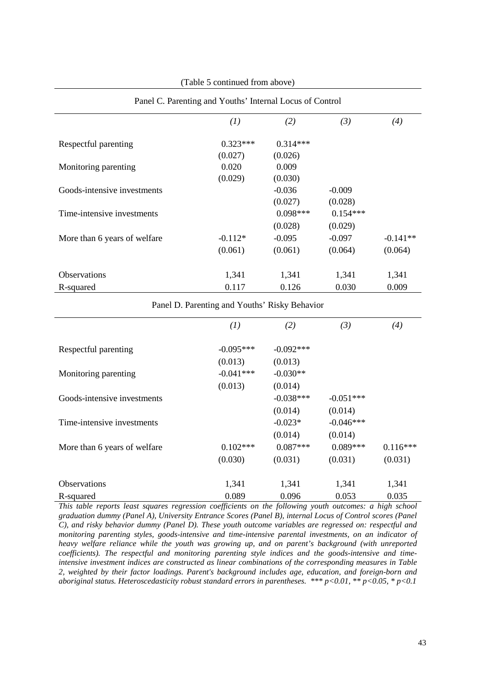(Table 5 continued from above)

*(1) (2) (3) (4)* Respectful parenting  $0.323***$   $0.314***$  $(0.027)$   $(0.026)$ Monitoring parenting 0.020 0.009  $(0.029)$   $(0.030)$ Goods-intensive investments -0.036 -0.009  $(0.027)$   $(0.028)$ Time-intensive investments  $0.098***$   $0.154***$  $(0.028)$   $(0.029)$ More than 6 years of welfare  $-0.112^*$   $-0.095$   $-0.097$   $-0.141**$  $(0.061)$   $(0.061)$   $(0.064)$   $(0.064)$ Observations 1,341 1,341 1,341 1,341 1,341 R-squared 0.117 0.126 0.030 0.009

#### Panel C. Parenting and Youths' Internal Locus of Control

#### Panel D. Parenting and Youths' Risky Behavior

|                              | (1)         | (2)         | (3)         | (4)        |
|------------------------------|-------------|-------------|-------------|------------|
| Respectful parenting         | $-0.095***$ | $-0.092***$ |             |            |
|                              | (0.013)     | (0.013)     |             |            |
| Monitoring parenting         | $-0.041***$ | $-0.030**$  |             |            |
|                              | (0.013)     | (0.014)     |             |            |
| Goods-intensive investments  |             | $-0.038***$ | $-0.051***$ |            |
|                              |             | (0.014)     | (0.014)     |            |
| Time-intensive investments   |             | $-0.023*$   | $-0.046***$ |            |
|                              |             | (0.014)     | (0.014)     |            |
| More than 6 years of welfare | $0.102***$  | $0.087***$  | $0.089***$  | $0.116***$ |
|                              | (0.030)     | (0.031)     | (0.031)     | (0.031)    |
| <b>Observations</b>          | 1,341       | 1,341       | 1,341       | 1,341      |
| R-squared                    | 0.089       | 0.096       | 0.053       | 0.035      |

*This table reports least squares regression coefficients on the following youth outcomes: a high school graduation dummy (Panel A), University Entrance Scores (Panel B), internal Locus of Control scores (Panel C), and risky behavior dummy (Panel D). These youth outcome variables are regressed on: respectful and monitoring parenting styles, goods-intensive and time-intensive parental investments, on an indicator of heavy welfare reliance while the youth was growing up, and on parent's background (with unreported coefficients). The respectful and monitoring parenting style indices and the goods-intensive and timeintensive investment indices are constructed as linear combinations of the corresponding measures in Table 2, weighted by their factor loadings. Parent's background includes age, education, and foreign-born and aboriginal status. Heteroscedasticity robust standard errors in parentheses. \*\*\* p<0.01, \*\* p<0.05, \* p<0.1*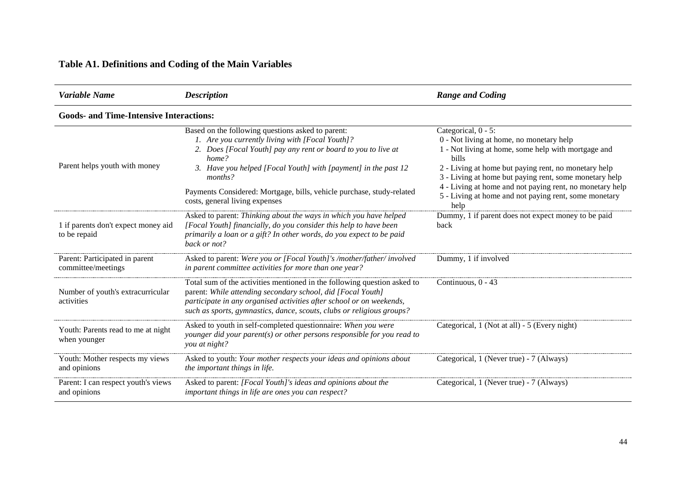# **Table A1. Definitions and Coding of the Main Variables**

| Variable Name                                        | <b>Description</b>                                                                                                                                                                                                                                                                                                                                                     | <b>Range and Coding</b>                                                                                                                                                                                                                                                                                                                                                               |
|------------------------------------------------------|------------------------------------------------------------------------------------------------------------------------------------------------------------------------------------------------------------------------------------------------------------------------------------------------------------------------------------------------------------------------|---------------------------------------------------------------------------------------------------------------------------------------------------------------------------------------------------------------------------------------------------------------------------------------------------------------------------------------------------------------------------------------|
| <b>Goods- and Time-Intensive Interactions:</b>       |                                                                                                                                                                                                                                                                                                                                                                        |                                                                                                                                                                                                                                                                                                                                                                                       |
| Parent helps youth with money                        | Based on the following questions asked to parent:<br>1. Are you currently living with [Focal Youth]?<br>2. Does [Focal Youth] pay any rent or board to you to live at<br>home?<br>3. Have you helped [Focal Youth] with [payment] in the past 12<br>months?<br>Payments Considered: Mortgage, bills, vehicle purchase, study-related<br>costs, general living expenses | Categorical, 0 - 5:<br>0 - Not living at home, no monetary help<br>1 - Not living at home, some help with mortgage and<br><b>bills</b><br>2 - Living at home but paying rent, no monetary help<br>3 - Living at home but paying rent, some monetary help<br>4 - Living at home and not paying rent, no monetary help<br>5 - Living at home and not paying rent, some monetary<br>help |
| 1 if parents don't expect money aid<br>to be repaid  | Asked to parent: Thinking about the ways in which you have helped<br>[Focal Youth] financially, do you consider this help to have been<br>primarily a loan or a gift? In other words, do you expect to be paid<br>back or not?                                                                                                                                         | Dummy, 1 if parent does not expect money to be paid<br>back                                                                                                                                                                                                                                                                                                                           |
| Parent: Participated in parent<br>committee/meetings | Asked to parent: Were you or [Focal Youth]'s /mother/father/ involved<br>in parent committee activities for more than one year?                                                                                                                                                                                                                                        | Dummy, 1 if involved                                                                                                                                                                                                                                                                                                                                                                  |
| Number of youth's extracurricular<br>activities      | Total sum of the activities mentioned in the following question asked to<br>parent: While attending secondary school, did [Focal Youth]<br>participate in any organised activities after school or on weekends,<br>such as sports, gymnastics, dance, scouts, clubs or religious groups?                                                                               | Continuous, 0 - 43                                                                                                                                                                                                                                                                                                                                                                    |
| Youth: Parents read to me at night<br>when younger   | Asked to youth in self-completed questionnaire: When you were<br>younger did your parent(s) or other persons responsible for you read to<br>you at night?                                                                                                                                                                                                              | Categorical, 1 (Not at all) - 5 (Every night)                                                                                                                                                                                                                                                                                                                                         |
| Youth: Mother respects my views<br>and opinions      | Asked to youth: Your mother respects your ideas and opinions about<br>the important things in life.                                                                                                                                                                                                                                                                    | Categorical, 1 (Never true) - 7 (Always)                                                                                                                                                                                                                                                                                                                                              |
| Parent: I can respect youth's views<br>and opinions  | Asked to parent: [Focal Youth]'s ideas and opinions about the<br>important things in life are ones you can respect?                                                                                                                                                                                                                                                    | Categorical, 1 (Never true) - 7 (Always)                                                                                                                                                                                                                                                                                                                                              |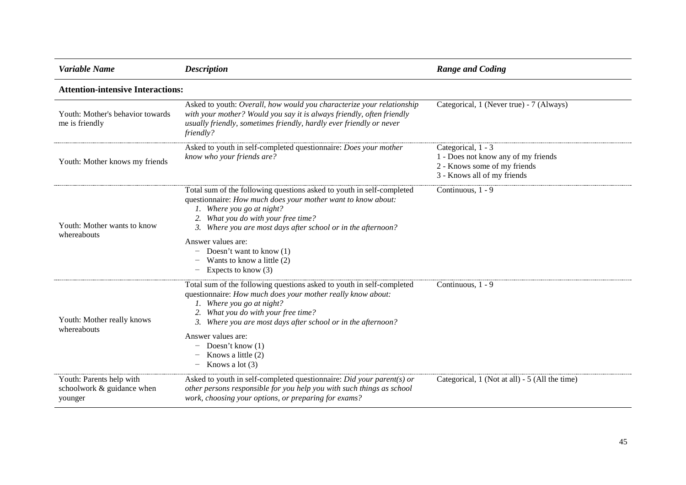| Variable Name                                                     | <b>Description</b>                                                                                                                                                                                                                                                                                                                                                               | <b>Range and Coding</b>                                                                                                  |  |  |  |  |
|-------------------------------------------------------------------|----------------------------------------------------------------------------------------------------------------------------------------------------------------------------------------------------------------------------------------------------------------------------------------------------------------------------------------------------------------------------------|--------------------------------------------------------------------------------------------------------------------------|--|--|--|--|
|                                                                   | <b>Attention-intensive Interactions:</b>                                                                                                                                                                                                                                                                                                                                         |                                                                                                                          |  |  |  |  |
| Youth: Mother's behavior towards<br>me is friendly                | Asked to youth: Overall, how would you characterize your relationship<br>with your mother? Would you say it is always friendly, often friendly<br>usually friendly, sometimes friendly, hardly ever friendly or never<br>friendly?                                                                                                                                               | Categorical, 1 (Never true) - 7 (Always)                                                                                 |  |  |  |  |
| Youth: Mother knows my friends                                    | Asked to youth in self-completed questionnaire: Does your mother<br>know who your friends are?                                                                                                                                                                                                                                                                                   | Categorical, 1 - 3<br>1 - Does not know any of my friends<br>2 - Knows some of my friends<br>3 - Knows all of my friends |  |  |  |  |
| Youth: Mother wants to know<br>whereabouts                        | Total sum of the following questions asked to youth in self-completed<br>questionnaire: How much does your mother want to know about:<br>1. Where you go at night?<br>2. What you do with your free time?<br>3. Where you are most days after school or in the afternoon?<br>Answer values are:<br>Doesn't want to know (1)<br>Wants to know a little (2)<br>Expects to know (3) | Continuous, 1 - 9                                                                                                        |  |  |  |  |
| Youth: Mother really knows<br>whereabouts                         | Total sum of the following questions asked to youth in self-completed<br>questionnaire: How much does your mother really know about:<br>1. Where you go at night?<br>2. What you do with your free time?<br>3. Where you are most days after school or in the afternoon?<br>Answer values are:<br>Doesn't know $(1)$<br>Knows a little (2)<br>Knows a lot $(3)$<br>-             | Continuous, 1 - 9                                                                                                        |  |  |  |  |
| Youth: Parents help with<br>schoolwork & guidance when<br>younger | Asked to youth in self-completed questionnaire: Did your parent(s) or<br>other persons responsible for you help you with such things as school<br>work, choosing your options, or preparing for exams?                                                                                                                                                                           | Categorical, 1 (Not at all) - 5 (All the time)                                                                           |  |  |  |  |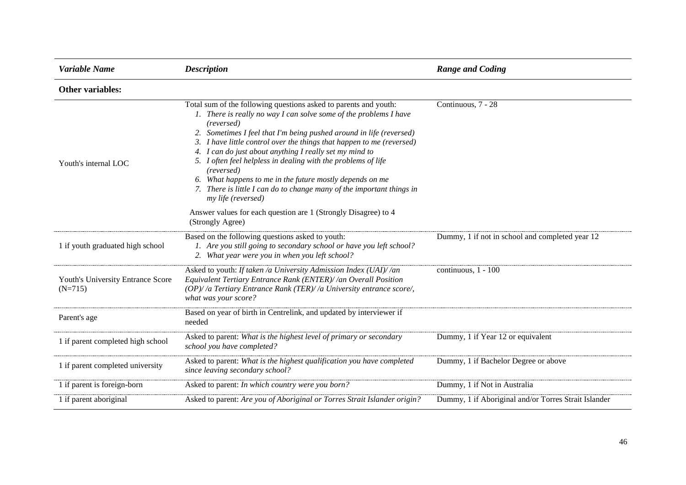| Variable Name                                  | <b>Description</b>                                                                                                                                                                                                                                                                                                                                                                                                                                                                                                                                                                                                                                                         | <b>Range and Coding</b>                              |
|------------------------------------------------|----------------------------------------------------------------------------------------------------------------------------------------------------------------------------------------------------------------------------------------------------------------------------------------------------------------------------------------------------------------------------------------------------------------------------------------------------------------------------------------------------------------------------------------------------------------------------------------------------------------------------------------------------------------------------|------------------------------------------------------|
| Other variables:                               |                                                                                                                                                                                                                                                                                                                                                                                                                                                                                                                                                                                                                                                                            |                                                      |
| Youth's internal LOC                           | Total sum of the following questions asked to parents and youth:<br>1. There is really no way I can solve some of the problems I have<br>(reversed)<br>2. Sometimes I feel that I'm being pushed around in life (reversed)<br>3. I have little control over the things that happen to me (reversed)<br>4. I can do just about anything I really set my mind to<br>5. I often feel helpless in dealing with the problems of life<br>(reversed)<br>6. What happens to me in the future mostly depends on me<br>7. There is little I can do to change many of the important things in<br>my life (reversed)<br>Answer values for each question are 1 (Strongly Disagree) to 4 | Continuous, 7 - 28                                   |
|                                                | (Strongly Agree)                                                                                                                                                                                                                                                                                                                                                                                                                                                                                                                                                                                                                                                           |                                                      |
| 1 if youth graduated high school               | Based on the following questions asked to youth:<br>1. Are you still going to secondary school or have you left school?<br>2. What year were you in when you left school?                                                                                                                                                                                                                                                                                                                                                                                                                                                                                                  | Dummy, 1 if not in school and completed year 12      |
| Youth's University Entrance Score<br>$(N=715)$ | Asked to youth: If taken /a University Admission Index (UAI)//an<br>Equivalent Tertiary Entrance Rank (ENTER)//an Overall Position<br>(OP)//a Tertiary Entrance Rank (TER)//a University entrance score/,<br>what was your score?                                                                                                                                                                                                                                                                                                                                                                                                                                          | continuous, 1 - 100                                  |
| Parent's age                                   | Based on year of birth in Centrelink, and updated by interviewer if<br>needed                                                                                                                                                                                                                                                                                                                                                                                                                                                                                                                                                                                              |                                                      |
| 1 if parent completed high school              | Asked to parent: What is the highest level of primary or secondary<br>school you have completed?                                                                                                                                                                                                                                                                                                                                                                                                                                                                                                                                                                           | Dummy, 1 if Year 12 or equivalent                    |
| 1 if parent completed university               | Asked to parent: What is the highest qualification you have completed<br>since leaving secondary school?                                                                                                                                                                                                                                                                                                                                                                                                                                                                                                                                                                   | Dummy, 1 if Bachelor Degree or above                 |
| 1 if parent is foreign-born                    | Asked to parent: In which country were you born?                                                                                                                                                                                                                                                                                                                                                                                                                                                                                                                                                                                                                           | Dummy, 1 if Not in Australia                         |
| 1 if parent aboriginal                         | Asked to parent: Are you of Aboriginal or Torres Strait Islander origin?                                                                                                                                                                                                                                                                                                                                                                                                                                                                                                                                                                                                   | Dummy, 1 if Aboriginal and/or Torres Strait Islander |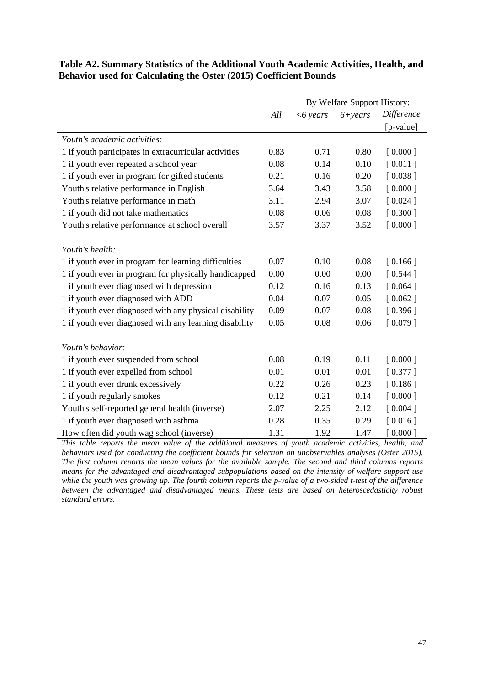## **Table A2. Summary Statistics of the Additional Youth Academic Activities, Health, and Behavior used for Calculating the Oster (2015) Coefficient Bounds**

|                                                        | By Welfare Support History: |            |             |            |
|--------------------------------------------------------|-----------------------------|------------|-------------|------------|
|                                                        | All                         | $<6$ years | $6 + years$ | Difference |
|                                                        |                             |            |             | [p-value]  |
| Youth's academic activities:                           |                             |            |             |            |
| 1 if youth participates in extracurricular activities  | 0.83                        | 0.71       | 0.80        | [0.000]    |
| 1 if youth ever repeated a school year                 | 0.08                        | 0.14       | 0.10        | [0.011]    |
| 1 if youth ever in program for gifted students         | 0.21                        | 0.16       | 0.20        | [0.038]    |
| Youth's relative performance in English                | 3.64                        | 3.43       | 3.58        | [0.000]    |
| Youth's relative performance in math                   | 3.11                        | 2.94       | 3.07        | [0.024]    |
| 1 if youth did not take mathematics                    | 0.08                        | 0.06       | 0.08        | [0.300]    |
| Youth's relative performance at school overall         | 3.57                        | 3.37       | 3.52        | [0.000]    |
|                                                        |                             |            |             |            |
| Youth's health:                                        |                             |            |             |            |
| 1 if youth ever in program for learning difficulties   | 0.07                        | 0.10       | 0.08        | [0.166]    |
| 1 if youth ever in program for physically handicapped  | 0.00                        | 0.00       | 0.00        | [0.544]    |
| 1 if youth ever diagnosed with depression              | 0.12                        | 0.16       | 0.13        | [0.064]    |
| 1 if youth ever diagnosed with ADD                     | 0.04                        | 0.07       | 0.05        | [0.062]    |
| 1 if youth ever diagnosed with any physical disability | 0.09                        | 0.07       | 0.08        | [0.396]    |
| 1 if youth ever diagnosed with any learning disability | 0.05                        | 0.08       | 0.06        | [0.079]    |
|                                                        |                             |            |             |            |
| Youth's behavior:                                      |                             |            |             |            |
| 1 if youth ever suspended from school                  | 0.08                        | 0.19       | 0.11        | [0.000]    |
| 1 if youth ever expelled from school                   | 0.01                        | 0.01       | 0.01        | [0.377]    |
| 1 if youth ever drunk excessively                      | 0.22                        | 0.26       | 0.23        | [0.186]    |
| 1 if youth regularly smokes                            | 0.12                        | 0.21       | 0.14        | [0.000]    |
| Youth's self-reported general health (inverse)         | 2.07                        | 2.25       | 2.12        | [0.004]    |
| 1 if youth ever diagnosed with asthma                  | 0.28                        | 0.35       | 0.29        | [0.016]    |
| How often did youth wag school (inverse)               | 1.31                        | 1.92       | 1.47        | [0.000]    |

*This table reports the mean value of the additional measures of youth academic activities, health, and behaviors used for conducting the coefficient bounds for selection on unobservables analyses (Oster 2015). The first column reports the mean values for the available sample. The second and third columns reports means for the advantaged and disadvantaged subpopulations based on the intensity of welfare support use while the youth was growing up. The fourth column reports the p-value of a two-sided t-test of the difference between the advantaged and disadvantaged means. These tests are based on heteroscedasticity robust standard errors.*